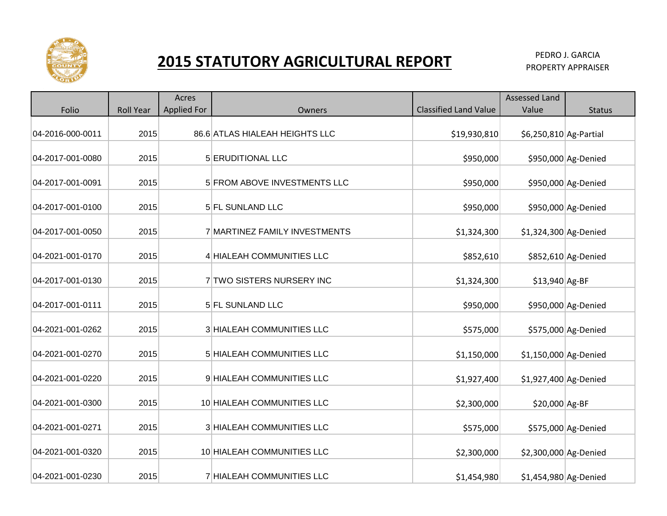

## **2015 STATUTORY AGRICULTURAL REPORT PEDRO J. GARCIA** PEDRO J. GARCIA

|                  |                  | Acres              |                                  |                              | <b>Assessed Land</b>   |                     |
|------------------|------------------|--------------------|----------------------------------|------------------------------|------------------------|---------------------|
| Folio            | <b>Roll Year</b> | <b>Applied For</b> | <b>Owners</b>                    | <b>Classified Land Value</b> | Value                  | <b>Status</b>       |
| 04-2016-000-0011 | 2015             |                    | 86.6 ATLAS HIALEAH HEIGHTS LLC   | \$19,930,810                 | \$6,250,810 Ag-Partial |                     |
| 04-2017-001-0080 | 2015             |                    | 5 ERUDITIONAL LLC                | \$950,000                    |                        | \$950,000 Ag-Denied |
| 04-2017-001-0091 | 2015             |                    | 5 FROM ABOVE INVESTMENTS LLC     | \$950,000                    |                        | \$950,000 Ag-Denied |
| 04-2017-001-0100 | 2015             |                    | 5 FL SUNLAND LLC                 | \$950,000                    |                        | \$950,000 Ag-Denied |
| 04-2017-001-0050 | 2015             |                    | 7 MARTINEZ FAMILY INVESTMENTS    | \$1,324,300                  | \$1,324,300 Ag-Denied  |                     |
| 04-2021-001-0170 | 2015             |                    | 4 HIALEAH COMMUNITIES LLC        | \$852,610                    |                        | \$852,610 Ag-Denied |
| 04-2017-001-0130 | 2015             |                    | 7 TWO SISTERS NURSERY INC        | \$1,324,300                  | \$13,940 Ag-BF         |                     |
| 04-2017-001-0111 | 2015             |                    | 5 FL SUNLAND LLC                 | \$950,000                    |                        | \$950,000 Ag-Denied |
| 04-2021-001-0262 | 2015             |                    | <b>3 HIALEAH COMMUNITIES LLC</b> | \$575,000                    |                        | \$575,000 Ag-Denied |
| 04-2021-001-0270 | 2015             |                    | 5 HIALEAH COMMUNITIES LLC        | \$1,150,000                  | \$1,150,000 Ag-Denied  |                     |
| 04-2021-001-0220 | 2015             |                    | 9 HIALEAH COMMUNITIES LLC        | \$1,927,400                  | \$1,927,400 Ag-Denied  |                     |
| 04-2021-001-0300 | 2015             |                    | 10 HIALEAH COMMUNITIES LLC       | \$2,300,000                  | \$20,000 Ag-BF         |                     |
| 04-2021-001-0271 | 2015             |                    | 3 HIALEAH COMMUNITIES LLC        | \$575,000                    |                        | \$575,000 Ag-Denied |
| 04-2021-001-0320 | 2015             |                    | 10 HIALEAH COMMUNITIES LLC       | \$2,300,000                  | \$2,300,000 Ag-Denied  |                     |
| 04-2021-001-0230 | 2015             |                    | 7 HIALEAH COMMUNITIES LLC        | \$1,454,980                  | $$1,454,980$ Ag-Denied |                     |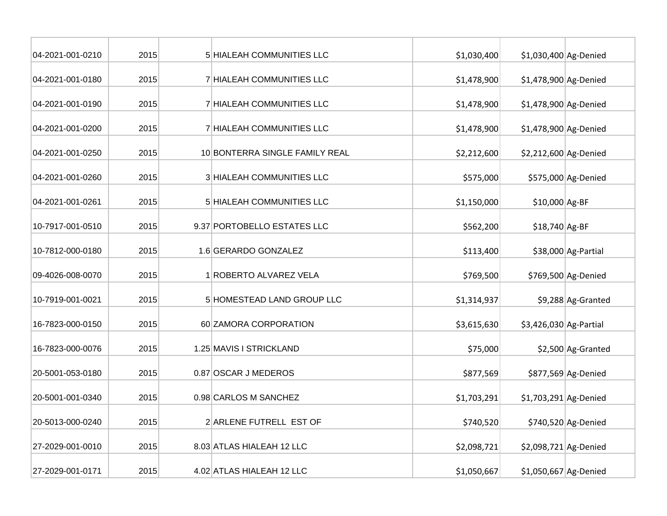| 04-2021-001-0210 | 2015 | 5 HIALEAH COMMUNITIES LLC      | \$1,030,400 | \$1,030,400 Ag-Denied  |                     |
|------------------|------|--------------------------------|-------------|------------------------|---------------------|
| 04-2021-001-0180 | 2015 | 7 HIALEAH COMMUNITIES LLC      | \$1,478,900 | \$1,478,900 Ag-Denied  |                     |
| 04-2021-001-0190 | 2015 | 7 HIALEAH COMMUNITIES LLC      | \$1,478,900 | \$1,478,900 Ag-Denied  |                     |
| 04-2021-001-0200 | 2015 | 7 HIALEAH COMMUNITIES LLC      | \$1,478,900 | \$1,478,900 Ag-Denied  |                     |
| 04-2021-001-0250 | 2015 | 10 BONTERRA SINGLE FAMILY REAL | \$2,212,600 | \$2,212,600 Ag-Denied  |                     |
| 04-2021-001-0260 | 2015 | 3 HIALEAH COMMUNITIES LLC      | \$575,000   |                        | \$575,000 Ag-Denied |
| 04-2021-001-0261 | 2015 | 5 HIALEAH COMMUNITIES LLC      | \$1,150,000 | \$10,000 Ag-BF         |                     |
| 10-7917-001-0510 | 2015 | 9.37 PORTOBELLO ESTATES LLC    | \$562,200   | \$18,740 Ag-BF         |                     |
| 10-7812-000-0180 | 2015 | 1.6 GERARDO GONZALEZ           | \$113,400   |                        | \$38,000 Ag-Partial |
| 09-4026-008-0070 | 2015 | 1 ROBERTO ALVAREZ VELA         | \$769,500   |                        | \$769,500 Ag-Denied |
| 10-7919-001-0021 | 2015 | 5 HOMESTEAD LAND GROUP LLC     | \$1,314,937 |                        | \$9,288 Ag-Granted  |
| 16-7823-000-0150 | 2015 | 60 ZAMORA CORPORATION          | \$3,615,630 | \$3,426,030 Ag-Partial |                     |
| 16-7823-000-0076 | 2015 | 1.25 MAVIS I STRICKLAND        | \$75,000    |                        | \$2,500 Ag-Granted  |
| 20-5001-053-0180 | 2015 | 0.87 OSCAR J MEDEROS           | \$877,569   |                        | \$877,569 Ag-Denied |
| 20-5001-001-0340 | 2015 | 0.98 CARLOS M SANCHEZ          | \$1,703,291 | \$1,703,291 Ag-Denied  |                     |
| 20-5013-000-0240 | 2015 | 2 ARLENE FUTRELL EST OF        | \$740,520   |                        | \$740,520 Ag-Denied |
| 27-2029-001-0010 | 2015 | 8.03 ATLAS HIALEAH 12 LLC      | \$2,098,721 | \$2,098,721 Ag-Denied  |                     |
| 27-2029-001-0171 | 2015 | 4.02 ATLAS HIALEAH 12 LLC      | \$1,050,667 | \$1,050,667 Ag-Denied  |                     |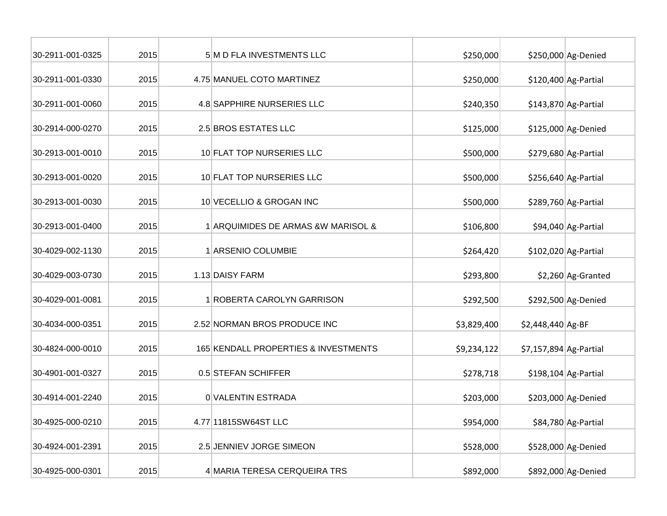| 30-2911-001-0325 | 2015 | 5 M D FLA INVESTMENTS LLC            | \$250,000   |                         | \$250,000 Ag-Denied   |
|------------------|------|--------------------------------------|-------------|-------------------------|-----------------------|
| 30-2911-001-0330 | 2015 | 4.75 MANUEL COTO MARTINEZ            | \$250,000   |                         | \$120,400 Ag-Partial  |
| 30-2911-001-0060 | 2015 | 4.8 SAPPHIRE NURSERIES LLC           | \$240,350   |                         | $$143,870$ Ag-Partial |
| 30-2914-000-0270 | 2015 | 2.5 BROS ESTATES LLC                 | \$125,000   |                         | \$125,000 Ag-Denied   |
| 30-2913-001-0010 | 2015 | 10 FLAT TOP NURSERIES LLC            | \$500,000   |                         | \$279,680 Ag-Partial  |
| 30-2913-001-0020 | 2015 | 10 FLAT TOP NURSERIES LLC            | \$500,000   |                         | \$256,640 Ag-Partial  |
| 30-2913-001-0030 | 2015 | 10 VECELLIO & GROGAN INC             | \$500,000   |                         | \$289,760 Ag-Partial  |
| 30-2913-001-0400 | 2015 | 1 ARQUIMIDES DE ARMAS & W MARISOL &  | \$106,800   |                         | \$94,040 Ag-Partial   |
| 30-4029-002-1130 | 2015 | 1 ARSENIO COLUMBIE                   | \$264,420   |                         | $$102,020$ Ag-Partial |
| 30-4029-003-0730 | 2015 | 1.13 DAISY FARM                      | \$293,800   |                         | \$2,260 Ag-Granted    |
| 30-4029-001-0081 | 2015 | 1 ROBERTA CAROLYN GARRISON           | \$292,500   |                         | \$292,500 Ag-Denied   |
| 30-4034-000-0351 | 2015 | 2.52 NORMAN BROS PRODUCE INC         | \$3,829,400 | \$2,448,440 Ag-BF       |                       |
| 30-4824-000-0010 | 2015 | 165 KENDALL PROPERTIES & INVESTMENTS | \$9,234,122 | $$7,157,894$ Ag-Partial |                       |
| 30-4901-001-0327 | 2015 | 0.5 STEFAN SCHIFFER                  | \$278,718   |                         | $$198,104$ Ag-Partial |
| 30-4914-001-2240 | 2015 | 0 VALENTIN ESTRADA                   | \$203,000   |                         | \$203,000 Ag-Denied   |
| 30-4925-000-0210 | 2015 | 4.77 11815SW64ST LLC                 | \$954,000   |                         | \$84,780 Ag-Partial   |
| 30-4924-001-2391 | 2015 | 2.5 JENNIEV JORGE SIMEON             | \$528,000   |                         | \$528,000 Ag-Denied   |
| 30-4925-000-0301 | 2015 | 4 MARIA TERESA CERQUEIRA TRS         | \$892,000   |                         | \$892,000 Ag-Denied   |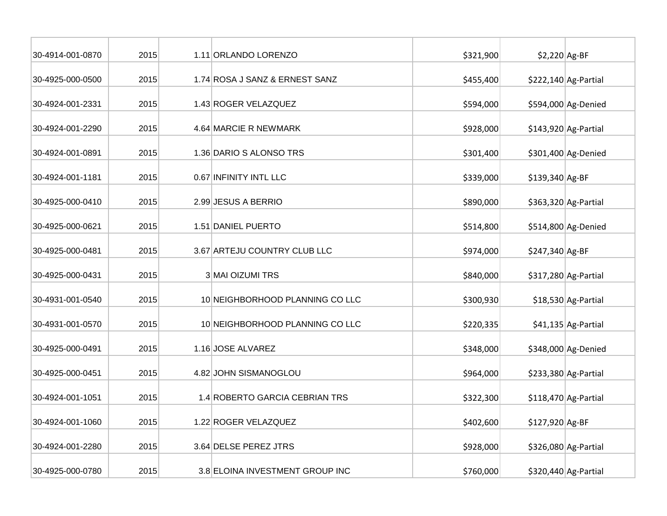| 30-4914-001-0870 | 2015 | 1.11 ORLANDO LORENZO            | \$321,900 | $$2,220$ Ag-BF   |                       |
|------------------|------|---------------------------------|-----------|------------------|-----------------------|
| 30-4925-000-0500 | 2015 | 1.74 ROSA J SANZ & ERNEST SANZ  | \$455,400 |                  | $$222,140$ Ag-Partial |
| 30-4924-001-2331 | 2015 | 1.43 ROGER VELAZQUEZ            | \$594,000 |                  | \$594,000 Ag-Denied   |
| 30-4924-001-2290 | 2015 | 4.64 MARCIE R NEWMARK           | \$928,000 |                  | $$143,920$ Ag-Partial |
| 30-4924-001-0891 | 2015 | 1.36 DARIO S ALONSO TRS         | \$301,400 |                  | \$301,400 Ag-Denied   |
| 30-4924-001-1181 | 2015 | 0.67 INFINITY INTL LLC          | \$339,000 | \$139,340 Ag-BF  |                       |
| 30-4925-000-0410 | 2015 | 2.99 JESUS A BERRIO             | \$890,000 |                  | $$363,320$ Ag-Partial |
| 30-4925-000-0621 | 2015 | 1.51 DANIEL PUERTO              | \$514,800 |                  | \$514,800 Ag-Denied   |
| 30-4925-000-0481 | 2015 | 3.67 ARTEJU COUNTRY CLUB LLC    | \$974,000 | $$247,340$ Ag-BF |                       |
| 30-4925-000-0431 | 2015 | 3 MAI OIZUMI TRS                | \$840,000 |                  | $$317,280$ Ag-Partial |
| 30-4931-001-0540 | 2015 | 10 NEIGHBORHOOD PLANNING CO LLC | \$300,930 |                  | \$18,530 Ag-Partial   |
| 30-4931-001-0570 | 2015 | 10 NEIGHBORHOOD PLANNING CO LLC | \$220,335 |                  | \$41,135 Ag-Partial   |
| 30-4925-000-0491 | 2015 | 1.16 JOSE ALVAREZ               | \$348,000 |                  | \$348,000 Ag-Denied   |
| 30-4925-000-0451 | 2015 | 4.82 JOHN SISMANOGLOU           | \$964,000 |                  | \$233,380 Ag-Partial  |
| 30-4924-001-1051 | 2015 | 1.4 ROBERTO GARCIA CEBRIAN TRS  | \$322,300 |                  | $$118,470$ Ag-Partial |
| 30-4924-001-1060 | 2015 | 1.22 ROGER VELAZQUEZ            | \$402,600 | \$127,920 Ag-BF  |                       |
| 30-4924-001-2280 | 2015 | 3.64 DELSE PEREZ JTRS           | \$928,000 |                  | \$326,080 Ag-Partial  |
| 30-4925-000-0780 | 2015 | 3.8 ELOINA INVESTMENT GROUP INC | \$760,000 |                  | \$320,440 Ag-Partial  |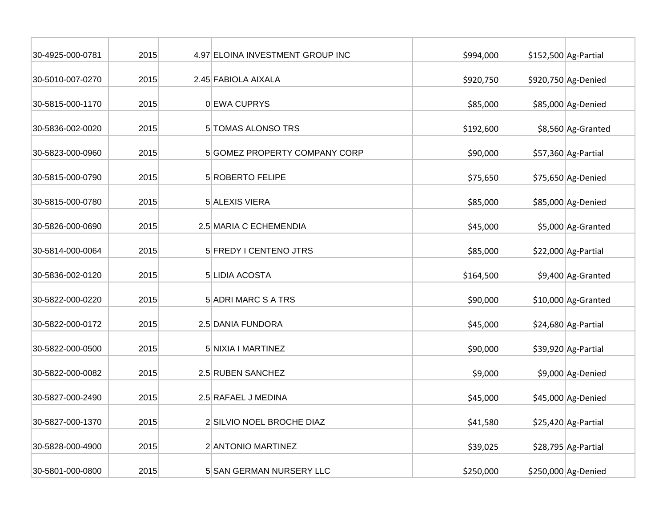| 30-4925-000-0781 | 2015 | 4.97 ELOINA INVESTMENT GROUP INC | \$994,000 | \$152,500 Ag-Partial |
|------------------|------|----------------------------------|-----------|----------------------|
| 30-5010-007-0270 | 2015 | 2.45 FABIOLA AIXALA              | \$920,750 | \$920,750 Ag-Denied  |
| 30-5815-000-1170 | 2015 | 0 EWA CUPRYS                     | \$85,000  | \$85,000 Ag-Denied   |
| 30-5836-002-0020 | 2015 | 5 TOMAS ALONSO TRS               | \$192,600 | \$8,560 Ag-Granted   |
| 30-5823-000-0960 | 2015 | 5 GOMEZ PROPERTY COMPANY CORP    | \$90,000  | \$57,360 Ag-Partial  |
| 30-5815-000-0790 | 2015 | 5 ROBERTO FELIPE                 | \$75,650  | \$75,650 Ag-Denied   |
| 30-5815-000-0780 | 2015 | 5 ALEXIS VIERA                   | \$85,000  | \$85,000 Ag-Denied   |
| 30-5826-000-0690 | 2015 | 2.5 MARIA C ECHEMENDIA           | \$45,000  | \$5,000 Ag-Granted   |
| 30-5814-000-0064 | 2015 | 5 FREDY I CENTENO JTRS           | \$85,000  | \$22,000 Ag-Partial  |
| 30-5836-002-0120 | 2015 | 5 LIDIA ACOSTA                   | \$164,500 | \$9,400 Ag-Granted   |
| 30-5822-000-0220 | 2015 | 5 ADRI MARC S A TRS              | \$90,000  | \$10,000 Ag-Granted  |
| 30-5822-000-0172 | 2015 | 2.5 DANIA FUNDORA                | \$45,000  | \$24,680 Ag-Partial  |
| 30-5822-000-0500 | 2015 | 5 NIXIA I MARTINEZ               | \$90,000  | \$39,920 Ag-Partial  |
| 30-5822-000-0082 | 2015 | 2.5 RUBEN SANCHEZ                | \$9,000   | \$9,000 Ag-Denied    |
| 30-5827-000-2490 | 2015 | 2.5 RAFAEL J MEDINA              | \$45,000  | \$45,000 Ag-Denied   |
| 30-5827-000-1370 | 2015 | 2 SILVIO NOEL BROCHE DIAZ        | \$41,580  | \$25,420 Ag-Partial  |
| 30-5828-000-4900 | 2015 | 2 ANTONIO MARTINEZ               | \$39,025  | \$28,795 Ag-Partial  |
| 30-5801-000-0800 | 2015 | 5 SAN GERMAN NURSERY LLC         | \$250,000 | \$250,000 Ag-Denied  |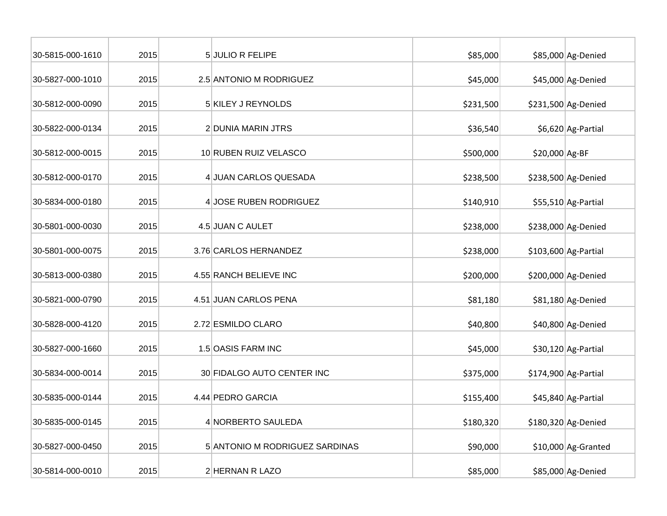| 30-5815-000-1610 | 2015 | 5 JULIO R FELIPE               | \$85,000  |                | \$85,000 Ag-Denied    |
|------------------|------|--------------------------------|-----------|----------------|-----------------------|
| 30-5827-000-1010 | 2015 | 2.5 ANTONIO M RODRIGUEZ        | \$45,000  |                | \$45,000 Ag-Denied    |
| 30-5812-000-0090 | 2015 | 5 KILEY J REYNOLDS             | \$231,500 |                | \$231,500 Ag-Denied   |
| 30-5822-000-0134 | 2015 | 2 DUNIA MARIN JTRS             | \$36,540  |                | \$6,620 Ag-Partial    |
| 30-5812-000-0015 | 2015 | 10 RUBEN RUIZ VELASCO          | \$500,000 | \$20,000 Ag-BF |                       |
| 30-5812-000-0170 | 2015 | 4 JUAN CARLOS QUESADA          | \$238,500 |                | \$238,500 Ag-Denied   |
| 30-5834-000-0180 | 2015 | 4 JOSE RUBEN RODRIGUEZ         | \$140,910 |                | \$55,510 Ag-Partial   |
| 30-5801-000-0030 | 2015 | 4.5 JUAN C AULET               | \$238,000 |                | \$238,000 Ag-Denied   |
| 30-5801-000-0075 | 2015 | 3.76 CARLOS HERNANDEZ          | \$238,000 |                | \$103,600 Ag-Partial  |
| 30-5813-000-0380 | 2015 | 4.55 RANCH BELIEVE INC         | \$200,000 |                | \$200,000 Ag-Denied   |
| 30-5821-000-0790 | 2015 | 4.51 JUAN CARLOS PENA          | \$81,180  |                | \$81,180 Ag-Denied    |
| 30-5828-000-4120 | 2015 | 2.72 ESMILDO CLARO             | \$40,800  |                | \$40,800 Ag-Denied    |
| 30-5827-000-1660 | 2015 | 1.5 OASIS FARM INC             | \$45,000  |                | \$30,120 Ag-Partial   |
| 30-5834-000-0014 | 2015 | 30 FIDALGO AUTO CENTER INC     | \$375,000 |                | $$174,900$ Ag-Partial |
| 30-5835-000-0144 | 2015 | 4.44 PEDRO GARCIA              | \$155,400 |                | \$45,840 Ag-Partial   |
| 30-5835-000-0145 | 2015 | 4 NORBERTO SAULEDA             | \$180,320 |                | \$180,320 Ag-Denied   |
| 30-5827-000-0450 | 2015 | 5 ANTONIO M RODRIGUEZ SARDINAS | \$90,000  |                | \$10,000 Ag-Granted   |
| 30-5814-000-0010 | 2015 | 2 HERNAN R LAZO                | \$85,000  |                | \$85,000 Ag-Denied    |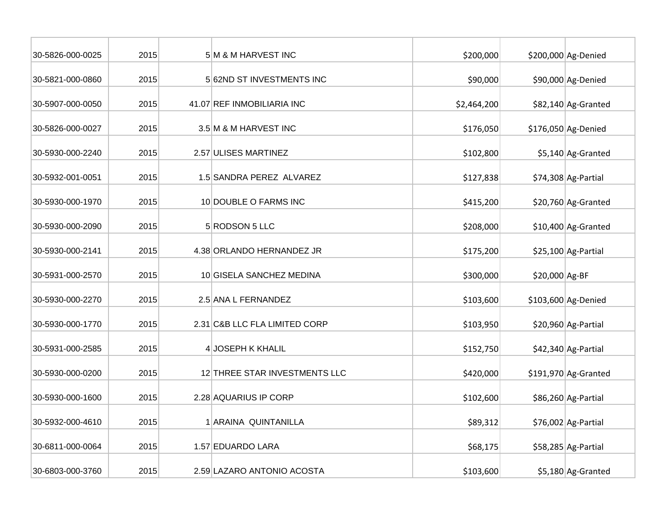| 30-5826-000-0025 | 2015 | 5 M & M HARVEST INC           | \$200,000   |                | \$200,000 Ag-Denied   |
|------------------|------|-------------------------------|-------------|----------------|-----------------------|
| 30-5821-000-0860 | 2015 | 562ND ST INVESTMENTS INC      | \$90,000    |                | \$90,000 Ag-Denied    |
| 30-5907-000-0050 | 2015 | 41.07 REF INMOBILIARIA INC    | \$2,464,200 |                | \$82,140 Ag-Granted   |
| 30-5826-000-0027 | 2015 | 3.5 M & M HARVEST INC         | \$176,050   |                | \$176,050 Ag-Denied   |
| 30-5930-000-2240 | 2015 | 2.57 ULISES MARTINEZ          | \$102,800   |                | \$5,140 Ag-Granted    |
| 30-5932-001-0051 | 2015 | 1.5 SANDRA PEREZ ALVAREZ      | \$127,838   |                | \$74,308 Ag-Partial   |
| 30-5930-000-1970 | 2015 | 10 DOUBLE O FARMS INC         | \$415,200   |                | \$20,760 Ag-Granted   |
| 30-5930-000-2090 | 2015 | 5 RODSON 5 LLC                | \$208,000   |                | \$10,400 Ag-Granted   |
| 30-5930-000-2141 | 2015 | 4.38 ORLANDO HERNANDEZ JR     | \$175,200   |                | \$25,100 Ag-Partial   |
| 30-5931-000-2570 | 2015 | 10 GISELA SANCHEZ MEDINA      | \$300,000   | \$20,000 Ag-BF |                       |
| 30-5930-000-2270 | 2015 | 2.5 ANA L FERNANDEZ           | \$103,600   |                | \$103,600 Ag-Denied   |
| 30-5930-000-1770 | 2015 | 2.31 C&B LLC FLA LIMITED CORP | \$103,950   |                | \$20,960 Ag-Partial   |
| 30-5931-000-2585 | 2015 | 4 JOSEPH K KHALIL             | \$152,750   |                | \$42,340 Ag-Partial   |
| 30-5930-000-0200 | 2015 | 12 THREE STAR INVESTMENTS LLC | \$420,000   |                | $$191,970$ Ag-Granted |
| 30-5930-000-1600 | 2015 | 2.28 AQUARIUS IP CORP         | \$102,600   |                | \$86,260 Ag-Partial   |
| 30-5932-000-4610 | 2015 | 1 ARAINA QUINTANILLA          | \$89,312    |                | $$76,002$ Ag-Partial  |
| 30-6811-000-0064 | 2015 | 1.57 EDUARDO LARA             | \$68,175    |                | \$58,285 Ag-Partial   |
| 30-6803-000-3760 | 2015 | 2.59 LAZARO ANTONIO ACOSTA    | \$103,600   |                | \$5,180 Ag-Granted    |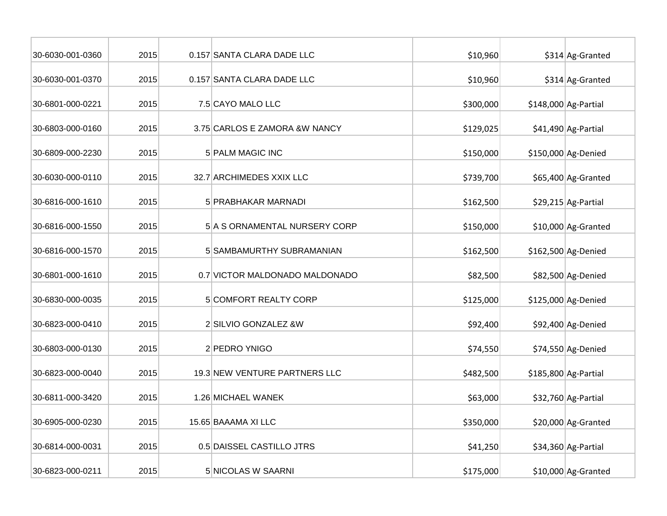| 30-6030-001-0360 | 2015 | 0.157 SANTA CLARA DADE LLC     | \$10,960  | \$314 Ag-Granted      |
|------------------|------|--------------------------------|-----------|-----------------------|
| 30-6030-001-0370 | 2015 | 0.157 SANTA CLARA DADE LLC     | \$10,960  | \$314 Ag-Granted      |
| 30-6801-000-0221 | 2015 | 7.5 CAYO MALO LLC              | \$300,000 | $$148,000$ Ag-Partial |
| 30-6803-000-0160 | 2015 | 3.75 CARLOS E ZAMORA & W NANCY | \$129,025 | \$41,490 Ag-Partial   |
| 30-6809-000-2230 | 2015 | <b>5 PALM MAGIC INC</b>        | \$150,000 | \$150,000 Ag-Denied   |
| 30-6030-000-0110 | 2015 | 32.7 ARCHIMEDES XXIX LLC       | \$739,700 | \$65,400 Ag-Granted   |
| 30-6816-000-1610 | 2015 | 5 PRABHAKAR MARNADI            | \$162,500 | $$29,215$ Ag-Partial  |
| 30-6816-000-1550 | 2015 | 5 A S ORNAMENTAL NURSERY CORP  | \$150,000 | $$10,000$ Ag-Granted  |
| 30-6816-000-1570 | 2015 | 5 SAMBAMURTHY SUBRAMANIAN      | \$162,500 | \$162,500 Ag-Denied   |
| 30-6801-000-1610 | 2015 | 0.7 VICTOR MALDONADO MALDONADO | \$82,500  | \$82,500 Ag-Denied    |
| 30-6830-000-0035 | 2015 | <b>5 COMFORT REALTY CORP</b>   | \$125,000 | \$125,000 Ag-Denied   |
| 30-6823-000-0410 | 2015 | 2 SILVIO GONZALEZ &W           | \$92,400  | \$92,400 Ag-Denied    |
| 30-6803-000-0130 | 2015 | 2 PEDRO YNIGO                  | \$74,550  | $$74,550$ Ag-Denied   |
| 30-6823-000-0040 | 2015 | 19.3 NEW VENTURE PARTNERS LLC  | \$482,500 | \$185,800 Ag-Partial  |
| 30-6811-000-3420 | 2015 | 1.26 MICHAEL WANEK             | \$63,000  | \$32,760 Ag-Partial   |
| 30-6905-000-0230 | 2015 | 15.65 BAAAMA XI LLC            | \$350,000 | \$20,000 Ag-Granted   |
| 30-6814-000-0031 | 2015 | 0.5 DAISSEL CASTILLO JTRS      | \$41,250  | \$34,360 Ag-Partial   |
| 30-6823-000-0211 | 2015 | 5 NICOLAS W SAARNI             | \$175,000 | \$10,000 Ag-Granted   |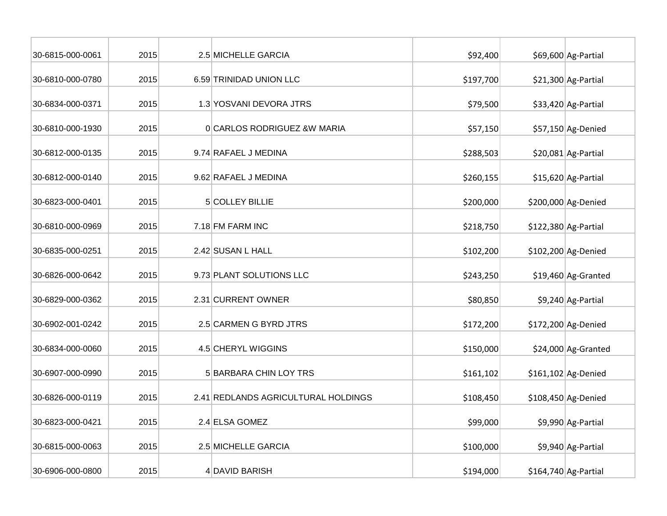| 30-6815-000-0061 | 2015 | 2.5 MICHELLE GARCIA                 | \$92,400  | \$69,600 Ag-Partial   |
|------------------|------|-------------------------------------|-----------|-----------------------|
| 30-6810-000-0780 | 2015 | 6.59 TRINIDAD UNION LLC             | \$197,700 | \$21,300 Ag-Partial   |
| 30-6834-000-0371 | 2015 | 1.3 YOSVANI DEVORA JTRS             | \$79,500  | \$33,420 Ag-Partial   |
| 30-6810-000-1930 | 2015 | 0 CARLOS RODRIGUEZ & W MARIA        | \$57,150  | \$57,150 Ag-Denied    |
| 30-6812-000-0135 | 2015 | 9.74 RAFAEL J MEDINA                | \$288,503 | $$20,081$ Ag-Partial  |
| 30-6812-000-0140 | 2015 | 9.62 RAFAEL J MEDINA                | \$260,155 | $$15,620$ Ag-Partial  |
| 30-6823-000-0401 | 2015 | 5 COLLEY BILLIE                     | \$200,000 | \$200,000 Ag-Denied   |
| 30-6810-000-0969 | 2015 | 7.18 FM FARM INC                    | \$218,750 | $$122,380$ Ag-Partial |
| 30-6835-000-0251 | 2015 | 2.42 SUSAN L HALL                   | \$102,200 | \$102,200 Ag-Denied   |
| 30-6826-000-0642 | 2015 | 9.73 PLANT SOLUTIONS LLC            | \$243,250 | \$19,460 Ag-Granted   |
| 30-6829-000-0362 | 2015 | 2.31 CURRENT OWNER                  | \$80,850  | \$9,240 Ag-Partial    |
| 30-6902-001-0242 | 2015 | 2.5 CARMEN G BYRD JTRS              | \$172,200 | \$172,200 Ag-Denied   |
| 30-6834-000-0060 | 2015 | 4.5 CHERYL WIGGINS                  | \$150,000 | \$24,000 Ag-Granted   |
| 30-6907-000-0990 | 2015 | 5 BARBARA CHIN LOY TRS              | \$161,102 | \$161,102 Ag-Denied   |
| 30-6826-000-0119 | 2015 | 2.41 REDLANDS AGRICULTURAL HOLDINGS | \$108,450 | $$108,450$ Ag-Denied  |
| 30-6823-000-0421 | 2015 | 2.4 ELSA GOMEZ                      | \$99,000  | \$9,990 Ag-Partial    |
| 30-6815-000-0063 | 2015 | 2.5 MICHELLE GARCIA                 | \$100,000 | \$9,940 Ag-Partial    |
| 30-6906-000-0800 | 2015 | 4 DAVID BARISH                      | \$194,000 | $$164,740$ Ag-Partial |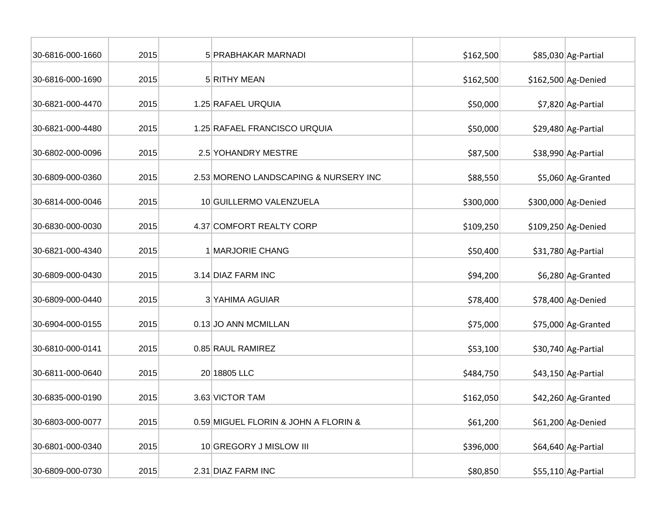| 30-6816-000-1660 | 2015 | 5 PRABHAKAR MARNADI                   | \$162,500 | \$85,030 Ag-Partial |
|------------------|------|---------------------------------------|-----------|---------------------|
| 30-6816-000-1690 | 2015 | 5 RITHY MEAN                          | \$162,500 | \$162,500 Ag-Denied |
| 30-6821-000-4470 | 2015 | 1.25 RAFAEL URQUIA                    | \$50,000  | \$7,820 Ag-Partial  |
| 30-6821-000-4480 | 2015 | 1.25 RAFAEL FRANCISCO URQUIA          | \$50,000  | \$29,480 Ag-Partial |
| 30-6802-000-0096 | 2015 | 2.5 YOHANDRY MESTRE                   | \$87,500  | \$38,990 Ag-Partial |
| 30-6809-000-0360 | 2015 | 2.53 MORENO LANDSCAPING & NURSERY INC | \$88,550  | \$5,060 Ag-Granted  |
| 30-6814-000-0046 | 2015 | 10 GUILLERMO VALENZUELA               | \$300,000 | \$300,000 Ag-Denied |
| 30-6830-000-0030 | 2015 | 4.37 COMFORT REALTY CORP              | \$109,250 | \$109,250 Ag-Denied |
| 30-6821-000-4340 | 2015 | 1 MARJORIE CHANG                      | \$50,400  | \$31,780 Ag-Partial |
| 30-6809-000-0430 | 2015 | 3.14 DIAZ FARM INC                    | \$94,200  | \$6,280 Ag-Granted  |
| 30-6809-000-0440 | 2015 | 3 YAHIMA AGUIAR                       | \$78,400  | \$78,400 Ag-Denied  |
| 30-6904-000-0155 | 2015 | 0.13 JO ANN MCMILLAN                  | \$75,000  | \$75,000 Ag-Granted |
| 30-6810-000-0141 | 2015 | 0.85 RAUL RAMIREZ                     | \$53,100  | \$30,740 Ag-Partial |
| 30-6811-000-0640 | 2015 | 20 18805 LLC                          | \$484,750 | \$43,150 Ag-Partial |
| 30-6835-000-0190 | 2015 | 3.63 VICTOR TAM                       | \$162,050 | \$42,260 Ag-Granted |
| 30-6803-000-0077 | 2015 | 0.59 MIGUEL FLORIN & JOHN A FLORIN &  | \$61,200  | \$61,200 Ag-Denied  |
| 30-6801-000-0340 | 2015 | 10 GREGORY J MISLOW III               | \$396,000 | \$64,640 Ag-Partial |
| 30-6809-000-0730 | 2015 | 2.31 DIAZ FARM INC                    | \$80,850  | \$55,110 Ag-Partial |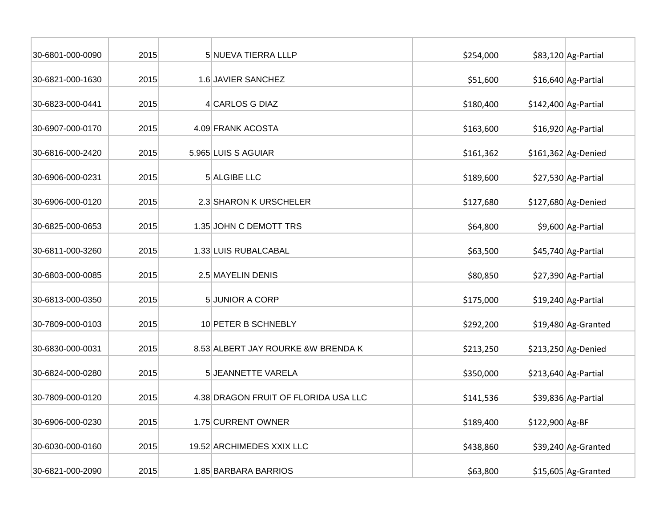| 30-6801-000-0090 | 2015 | 5 NUEVA TIERRA LLLP                  | \$254,000 |                 | \$83,120 Ag-Partial   |
|------------------|------|--------------------------------------|-----------|-----------------|-----------------------|
| 30-6821-000-1630 | 2015 | 1.6 JAVIER SANCHEZ                   | \$51,600  |                 | \$16,640 Ag-Partial   |
| 30-6823-000-0441 | 2015 | 4 CARLOS G DIAZ                      | \$180,400 |                 | $$142,400$ Ag-Partial |
| 30-6907-000-0170 | 2015 | 4.09 FRANK ACOSTA                    | \$163,600 |                 | \$16,920 Ag-Partial   |
| 30-6816-000-2420 | 2015 | 5.965 LUIS S AGUIAR                  | \$161,362 |                 | $$161,362$ Ag-Denied  |
| 30-6906-000-0231 | 2015 | 5 ALGIBE LLC                         | \$189,600 |                 | \$27,530 Ag-Partial   |
| 30-6906-000-0120 | 2015 | 2.3 SHARON K URSCHELER               | \$127,680 |                 | \$127,680 Ag-Denied   |
| 30-6825-000-0653 | 2015 | 1.35 JOHN C DEMOTT TRS               | \$64,800  |                 | \$9,600 Ag-Partial    |
| 30-6811-000-3260 | 2015 | 1.33 LUIS RUBALCABAL                 | \$63,500  |                 | \$45,740 Ag-Partial   |
| 30-6803-000-0085 | 2015 | 2.5 MAYELIN DENIS                    | \$80,850  |                 | \$27,390 Ag-Partial   |
| 30-6813-000-0350 | 2015 | 5 JUNIOR A CORP                      | \$175,000 |                 | \$19,240 Ag-Partial   |
| 30-7809-000-0103 | 2015 | 10 PETER B SCHNEBLY                  | \$292,200 |                 | \$19,480 Ag-Granted   |
| 30-6830-000-0031 | 2015 | 8.53 ALBERT JAY ROURKE &W BRENDA K   | \$213,250 |                 | \$213,250 Ag-Denied   |
| 30-6824-000-0280 | 2015 | 5 JEANNETTE VARELA                   | \$350,000 |                 | $$213,640$ Ag-Partial |
| 30-7809-000-0120 | 2015 | 4.38 DRAGON FRUIT OF FLORIDA USA LLC | \$141,536 |                 | \$39,836 Ag-Partial   |
| 30-6906-000-0230 | 2015 | 1.75 CURRENT OWNER                   | \$189,400 | \$122,900 Ag-BF |                       |
| 30-6030-000-0160 | 2015 | 19.52 ARCHIMEDES XXIX LLC            | \$438,860 |                 | \$39,240 Ag-Granted   |
| 30-6821-000-2090 | 2015 | 1.85 BARBARA BARRIOS                 | \$63,800  |                 | \$15,605 Ag-Granted   |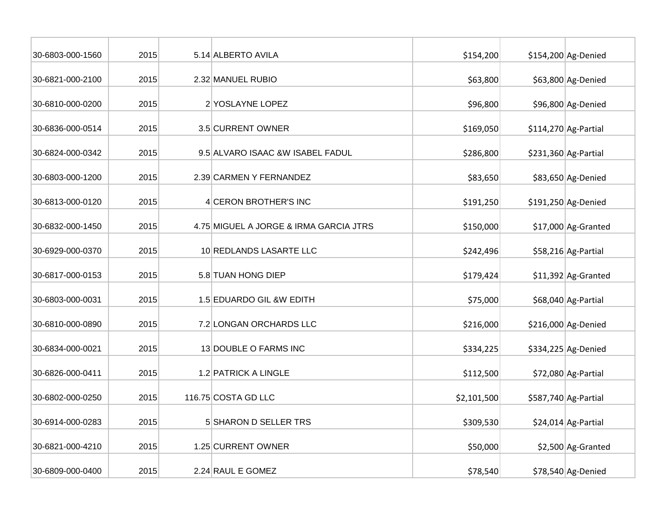| 30-6803-000-1560 | 2015 | 5.14 ALBERTO AVILA                     | \$154,200   | \$154,200 Ag-Denied   |
|------------------|------|----------------------------------------|-------------|-----------------------|
| 30-6821-000-2100 | 2015 | 2.32 MANUEL RUBIO                      | \$63,800    | \$63,800 Ag-Denied    |
| 30-6810-000-0200 | 2015 | 2 YOSLAYNE LOPEZ                       | \$96,800    | \$96,800 Ag-Denied    |
| 30-6836-000-0514 | 2015 | 3.5 CURRENT OWNER                      | \$169,050   | $$114,270$ Ag-Partial |
| 30-6824-000-0342 | 2015 | 9.5 ALVARO ISAAC & WISABEL FADUL       | \$286,800   | $$231,360$ Ag-Partial |
| 30-6803-000-1200 | 2015 | 2.39 CARMEN Y FERNANDEZ                | \$83,650    | \$83,650 Ag-Denied    |
| 30-6813-000-0120 | 2015 | 4 CERON BROTHER'S INC                  | \$191,250   | $$191,250$ Ag-Denied  |
| 30-6832-000-1450 | 2015 | 4.75 MIGUEL A JORGE & IRMA GARCIA JTRS | \$150,000   | \$17,000 Ag-Granted   |
| 30-6929-000-0370 | 2015 | 10 REDLANDS LASARTE LLC                | \$242,496   | \$58,216 Ag-Partial   |
| 30-6817-000-0153 | 2015 | 5.8 TUAN HONG DIEP                     | \$179,424   | $$11,392$ Ag-Granted  |
| 30-6803-000-0031 | 2015 | 1.5 EDUARDO GIL &W EDITH               | \$75,000    | \$68,040 Ag-Partial   |
| 30-6810-000-0890 | 2015 | 7.2 LONGAN ORCHARDS LLC                | \$216,000   | \$216,000 Ag-Denied   |
| 30-6834-000-0021 | 2015 | 13 DOUBLE O FARMS INC                  | \$334,225   | \$334,225 Ag-Denied   |
| 30-6826-000-0411 | 2015 | 1.2 PATRICK A LINGLE                   | \$112,500   | \$72,080 Ag-Partial   |
| 30-6802-000-0250 | 2015 | 116.75 COSTA GD LLC                    | \$2,101,500 | \$587,740 Ag-Partial  |
| 30-6914-000-0283 | 2015 | 5 SHARON D SELLER TRS                  | \$309,530   | \$24,014 Ag-Partial   |
| 30-6821-000-4210 | 2015 | 1.25 CURRENT OWNER                     | \$50,000    | \$2,500 Ag-Granted    |
| 30-6809-000-0400 | 2015 | 2.24 RAUL E GOMEZ                      | \$78,540    | \$78,540 Ag-Denied    |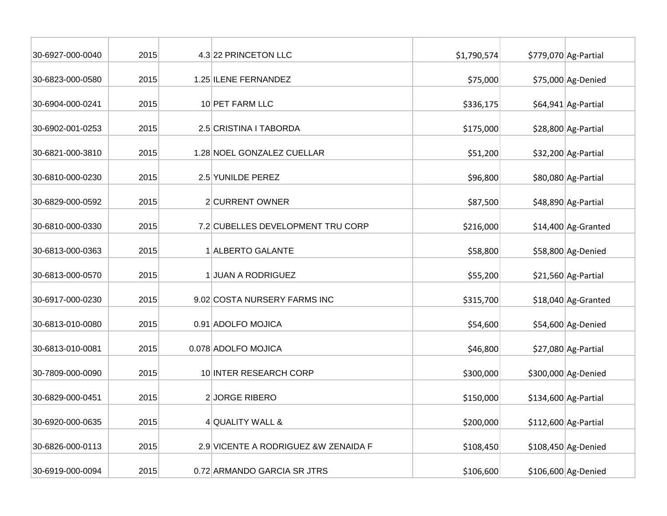| 30-6927-000-0040 | 2015 | 4.3 22 PRINCETON LLC                  | \$1,790,574 | \$779,070 Ag-Partial  |
|------------------|------|---------------------------------------|-------------|-----------------------|
| 30-6823-000-0580 | 2015 | 1.25 ILENE FERNANDEZ                  | \$75,000    | \$75,000 Ag-Denied    |
| 30-6904-000-0241 | 2015 | 10 PET FARM LLC                       | \$336,175   | \$64,941 Ag-Partial   |
| 30-6902-001-0253 | 2015 | 2.5 CRISTINA I TABORDA                | \$175,000   | \$28,800 Ag-Partial   |
| 30-6821-000-3810 | 2015 | 1.28 NOEL GONZALEZ CUELLAR            | \$51,200    | \$32,200 Ag-Partial   |
| 30-6810-000-0230 | 2015 | 2.5 YUNILDE PEREZ                     | \$96,800    | \$80,080 Ag-Partial   |
| 30-6829-000-0592 | 2015 | 2 CURRENT OWNER                       | \$87,500    | \$48,890 Ag-Partial   |
| 30-6810-000-0330 | 2015 | 7.2 CUBELLES DEVELOPMENT TRU CORP     | \$216,000   | \$14,400 Ag-Granted   |
| 30-6813-000-0363 | 2015 | 1 ALBERTO GALANTE                     | \$58,800    | \$58,800 Ag-Denied    |
| 30-6813-000-0570 | 2015 | 1 JUAN A RODRIGUEZ                    | \$55,200    | \$21,560 Ag-Partial   |
| 30-6917-000-0230 | 2015 | 9.02 COSTA NURSERY FARMS INC          | \$315,700   | \$18,040 Ag-Granted   |
| 30-6813-010-0080 | 2015 | 0.91 ADOLFO MOJICA                    | \$54,600    | \$54,600 Ag-Denied    |
| 30-6813-010-0081 | 2015 | 0.078 ADOLFO MOJICA                   | \$46,800    | \$27,080 Ag-Partial   |
| 30-7809-000-0090 | 2015 | 10 INTER RESEARCH CORP                | \$300,000   | \$300,000 Ag-Denied   |
| 30-6829-000-0451 | 2015 | 2 JORGE RIBERO                        | \$150,000   | \$134,600 Ag-Partial  |
| 30-6920-000-0635 | 2015 | 4 QUALITY WALL &                      | \$200,000   | $$112,600$ Ag-Partial |
| 30-6826-000-0113 | 2015 | 2.9 VICENTE A RODRIGUEZ & W ZENAIDA F | \$108,450   | \$108,450 Ag-Denied   |
| 30-6919-000-0094 | 2015 | 0.72 ARMANDO GARCIA SR JTRS           | \$106,600   | \$106,600 Ag-Denied   |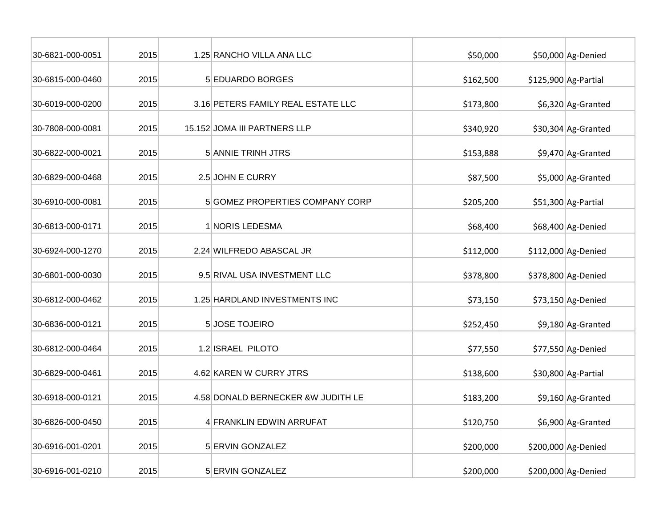| 30-6821-000-0051 | 2015 | 1.25 RANCHO VILLA ANA LLC          | \$50,000  | \$50,000 Ag-Denied    |
|------------------|------|------------------------------------|-----------|-----------------------|
| 30-6815-000-0460 | 2015 | 5 EDUARDO BORGES                   | \$162,500 | $$125,900$ Ag-Partial |
| 30-6019-000-0200 | 2015 | 3.16 PETERS FAMILY REAL ESTATE LLC | \$173,800 | \$6,320 Ag-Granted    |
| 30-7808-000-0081 | 2015 | 15.152 JOMA III PARTNERS LLP       | \$340,920 | \$30,304 Ag-Granted   |
| 30-6822-000-0021 | 2015 | 5 ANNIE TRINH JTRS                 | \$153,888 | \$9,470 Ag-Granted    |
| 30-6829-000-0468 | 2015 | 2.5 JOHN E CURRY                   | \$87,500  | \$5,000 Ag-Granted    |
| 30-6910-000-0081 | 2015 | 5 GOMEZ PROPERTIES COMPANY CORP    | \$205,200 | \$51,300 Ag-Partial   |
| 30-6813-000-0171 | 2015 | 1 NORIS LEDESMA                    | \$68,400  | \$68,400 Ag-Denied    |
| 30-6924-000-1270 | 2015 | 2.24 WILFREDO ABASCAL JR           | \$112,000 | \$112,000 Ag-Denied   |
| 30-6801-000-0030 | 2015 | 9.5 RIVAL USA INVESTMENT LLC       | \$378,800 | \$378,800 Ag-Denied   |
| 30-6812-000-0462 | 2015 | 1.25 HARDLAND INVESTMENTS INC      | \$73,150  | \$73,150 Ag-Denied    |
| 30-6836-000-0121 | 2015 | 5 JOSE TOJEIRO                     | \$252,450 | \$9,180 Ag-Granted    |
| 30-6812-000-0464 | 2015 | 1.2 ISRAEL PILOTO                  | \$77,550  | \$77,550 Ag-Denied    |
| 30-6829-000-0461 | 2015 | 4.62 KAREN W CURRY JTRS            | \$138,600 | \$30,800 Ag-Partial   |
| 30-6918-000-0121 | 2015 | 4.58 DONALD BERNECKER &W JUDITH LE | \$183,200 | \$9,160 Ag-Granted    |
| 30-6826-000-0450 | 2015 | 4 FRANKLIN EDWIN ARRUFAT           | \$120,750 | \$6,900 Ag-Granted    |
| 30-6916-001-0201 | 2015 | 5 ERVIN GONZALEZ                   | \$200,000 | \$200,000 Ag-Denied   |
| 30-6916-001-0210 | 2015 | 5 ERVIN GONZALEZ                   | \$200,000 | \$200,000 Ag-Denied   |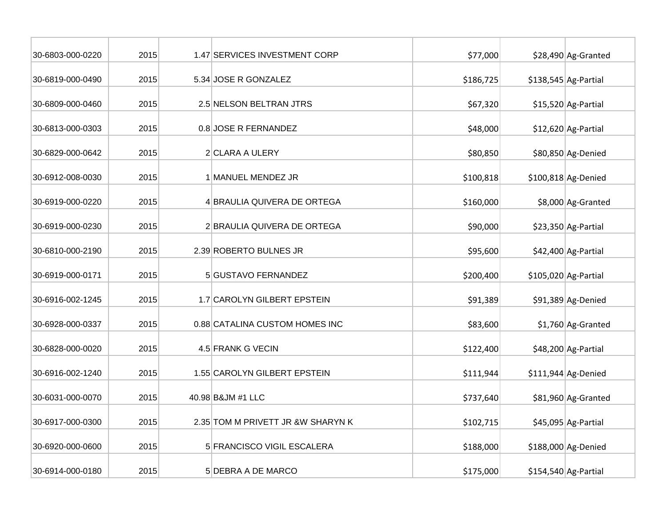| 30-6803-000-0220 | 2015 | 1.47 SERVICES INVESTMENT CORP     | \$77,000  | \$28,490 Ag-Granted   |
|------------------|------|-----------------------------------|-----------|-----------------------|
| 30-6819-000-0490 | 2015 | 5.34 JOSE R GONZALEZ              | \$186,725 | $$138,545$ Ag-Partial |
| 30-6809-000-0460 | 2015 | 2.5 NELSON BELTRAN JTRS           | \$67,320  | $$15,520$ Ag-Partial  |
| 30-6813-000-0303 | 2015 | 0.8 JOSE R FERNANDEZ              | \$48,000  | \$12,620 Ag-Partial   |
| 30-6829-000-0642 | 2015 | 2 CLARA A ULERY                   | \$80,850  | \$80,850 Ag-Denied    |
| 30-6912-008-0030 | 2015 | 1 MANUEL MENDEZ JR                | \$100,818 | \$100,818 Ag-Denied   |
| 30-6919-000-0220 | 2015 | 4 BRAULIA QUIVERA DE ORTEGA       | \$160,000 | \$8,000 Ag-Granted    |
| 30-6919-000-0230 | 2015 | 2 BRAULIA QUIVERA DE ORTEGA       | \$90,000  | \$23,350 Ag-Partial   |
| 30-6810-000-2190 | 2015 | 2.39 ROBERTO BULNES JR            | \$95,600  | \$42,400 Ag-Partial   |
| 30-6919-000-0171 | 2015 | 5 GUSTAVO FERNANDEZ               | \$200,400 | \$105,020 Ag-Partial  |
| 30-6916-002-1245 | 2015 | 1.7 CAROLYN GILBERT EPSTEIN       | \$91,389  | $$91,389$ Ag-Denied   |
| 30-6928-000-0337 | 2015 | 0.88 CATALINA CUSTOM HOMES INC    | \$83,600  | \$1,760 Ag-Granted    |
| 30-6828-000-0020 | 2015 | 4.5 FRANK G VECIN                 | \$122,400 | \$48,200 Ag-Partial   |
| 30-6916-002-1240 | 2015 | 1.55 CAROLYN GILBERT EPSTEIN      | \$111,944 | $$111,944$ Ag-Denied  |
| 30-6031-000-0070 | 2015 | 40.98 B&JM #1 LLC                 | \$737,640 | \$81,960 Ag-Granted   |
| 30-6917-000-0300 | 2015 | 2.35 TOM M PRIVETT JR &W SHARYN K | \$102,715 | \$45,095 Ag-Partial   |
| 30-6920-000-0600 | 2015 | 5 FRANCISCO VIGIL ESCALERA        | \$188,000 | \$188,000 Ag-Denied   |
| 30-6914-000-0180 | 2015 | 5 DEBRA A DE MARCO                | \$175,000 | $$154,540$ Ag-Partial |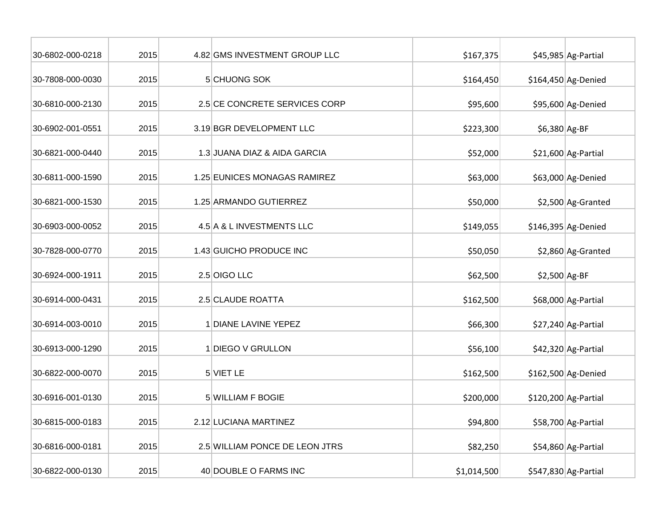| 30-6802-000-0218 | 2015 | 4.82 GMS INVESTMENT GROUP LLC  | \$167,375   |                | \$45,985 Ag-Partial   |
|------------------|------|--------------------------------|-------------|----------------|-----------------------|
| 30-7808-000-0030 | 2015 | 5 CHUONG SOK                   | \$164,450   |                | \$164,450 Ag-Denied   |
| 30-6810-000-2130 | 2015 | 2.5 CE CONCRETE SERVICES CORP  | \$95,600    |                | \$95,600 Ag-Denied    |
| 30-6902-001-0551 | 2015 | 3.19 BGR DEVELOPMENT LLC       | \$223,300   | \$6,380 Ag-BF  |                       |
| 30-6821-000-0440 | 2015 | 1.3 JUANA DIAZ & AIDA GARCIA   | \$52,000    |                | \$21,600 Ag-Partial   |
| 30-6811-000-1590 | 2015 | 1.25 EUNICES MONAGAS RAMIREZ   | \$63,000    |                | \$63,000 Ag-Denied    |
| 30-6821-000-1530 | 2015 | 1.25 ARMANDO GUTIERREZ         | \$50,000    |                | \$2,500 Ag-Granted    |
| 30-6903-000-0052 | 2015 | 4.5 A & L INVESTMENTS LLC      | \$149,055   |                | \$146,395 Ag-Denied   |
| 30-7828-000-0770 | 2015 | 1.43 GUICHO PRODUCE INC        | \$50,050    |                | \$2,860 Ag-Granted    |
| 30-6924-000-1911 | 2015 | 2.5 OIGO LLC                   | \$62,500    | $$2,500$ Ag-BF |                       |
| 30-6914-000-0431 | 2015 | 2.5 CLAUDE ROATTA              | \$162,500   |                | \$68,000 Ag-Partial   |
| 30-6914-003-0010 | 2015 | 1 DIANE LAVINE YEPEZ           | \$66,300    |                | \$27,240 Ag-Partial   |
| 30-6913-000-1290 | 2015 | 1 DIEGO V GRULLON              | \$56,100    |                | \$42,320 Ag-Partial   |
| 30-6822-000-0070 | 2015 | 5 VIET LE                      | \$162,500   |                | \$162,500 Ag-Denied   |
| 30-6916-001-0130 | 2015 | 5 WILLIAM F BOGIE              | \$200,000   |                | $$120,200$ Ag-Partial |
| 30-6815-000-0183 | 2015 | 2.12 LUCIANA MARTINEZ          | \$94,800    |                | \$58,700 Ag-Partial   |
| 30-6816-000-0181 | 2015 | 2.5 WILLIAM PONCE DE LEON JTRS | \$82,250    |                | \$54,860 Ag-Partial   |
| 30-6822-000-0130 | 2015 | 40 DOUBLE O FARMS INC          | \$1,014,500 |                | $$547,830$ Ag-Partial |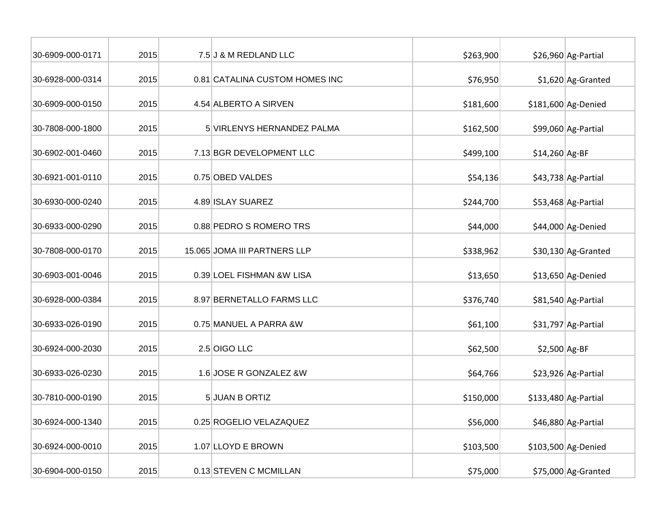| 30-6909-000-0171 | 2015 | 7.5 J & M REDLAND LLC          | \$263,900 |                | \$26,960 Ag-Partial   |
|------------------|------|--------------------------------|-----------|----------------|-----------------------|
| 30-6928-000-0314 | 2015 | 0.81 CATALINA CUSTOM HOMES INC | \$76,950  |                | \$1,620 Ag-Granted    |
| 30-6909-000-0150 | 2015 | 4.54 ALBERTO A SIRVEN          | \$181,600 |                | \$181,600 Ag-Denied   |
| 30-7808-000-1800 | 2015 | 5 VIRLENYS HERNANDEZ PALMA     | \$162,500 |                | \$99,060 Ag-Partial   |
| 30-6902-001-0460 | 2015 | 7.13 BGR DEVELOPMENT LLC       | \$499,100 | \$14,260 Ag-BF |                       |
| 30-6921-001-0110 | 2015 | 0.75 OBED VALDES               | \$54,136  |                | \$43,738 Ag-Partial   |
| 30-6930-000-0240 | 2015 | 4.89 ISLAY SUAREZ              | \$244,700 |                | \$53,468 Ag-Partial   |
| 30-6933-000-0290 | 2015 | 0.88 PEDRO S ROMERO TRS        | \$44,000  |                | \$44,000 Ag-Denied    |
| 30-7808-000-0170 | 2015 | 15.065 JOMA III PARTNERS LLP   | \$338,962 |                | \$30,130 Ag-Granted   |
| 30-6903-001-0046 | 2015 | 0.39 LOEL FISHMAN &W LISA      | \$13,650  |                | $$13,650$ Ag-Denied   |
| 30-6928-000-0384 | 2015 | 8.97 BERNETALLO FARMS LLC      | \$376,740 |                | \$81,540 Ag-Partial   |
| 30-6933-026-0190 | 2015 | 0.75 MANUEL A PARRA &W         | \$61,100  |                | \$31,797 Ag-Partial   |
| 30-6924-000-2030 | 2015 | 2.5 OIGO LLC                   | \$62,500  | \$2,500 Ag-BF  |                       |
| 30-6933-026-0230 | 2015 | 1.6 JOSE R GONZALEZ &W         | \$64,766  |                | \$23,926 Ag-Partial   |
| 30-7810-000-0190 | 2015 | 5 JUAN B ORTIZ                 | \$150,000 |                | $$133,480$ Ag-Partial |
| 30-6924-000-1340 | 2015 | 0.25 ROGELIO VELAZAQUEZ        | \$56,000  |                | \$46,880 Ag-Partial   |
| 30-6924-000-0010 | 2015 | 1.07 LLOYD E BROWN             | \$103,500 |                | \$103,500 Ag-Denied   |
| 30-6904-000-0150 | 2015 | 0.13 STEVEN C MCMILLAN         | \$75,000  |                | \$75,000 Ag-Granted   |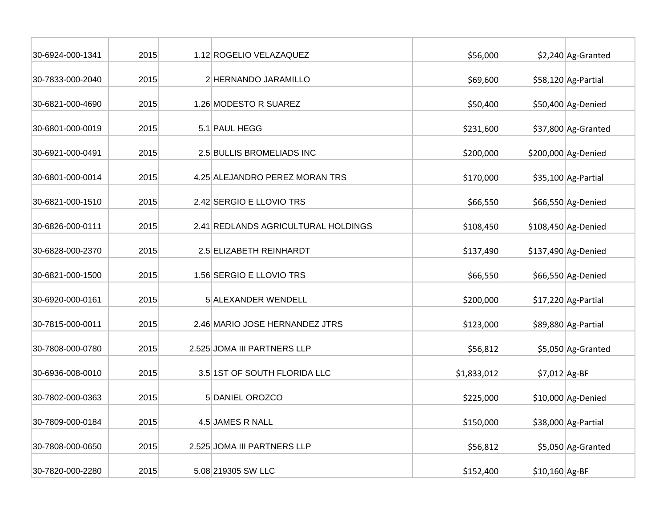| 30-6924-000-1341 | 2015 | 1.12 ROGELIO VELAZAQUEZ             | \$56,000    |                 | \$2,240 Ag-Granted   |
|------------------|------|-------------------------------------|-------------|-----------------|----------------------|
| 30-7833-000-2040 | 2015 | 2 HERNANDO JARAMILLO                | \$69,600    |                 | \$58,120 Ag-Partial  |
| 30-6821-000-4690 | 2015 | 1.26 MODESTO R SUAREZ               | \$50,400    |                 | \$50,400 Ag-Denied   |
| 30-6801-000-0019 | 2015 | 5.1 PAUL HEGG                       | \$231,600   |                 | \$37,800 Ag-Granted  |
| 30-6921-000-0491 | 2015 | 2.5 BULLIS BROMELIADS INC           | \$200,000   |                 | \$200,000 Ag-Denied  |
| 30-6801-000-0014 | 2015 | 4.25 ALEJANDRO PEREZ MORAN TRS      | \$170,000   |                 | \$35,100 Ag-Partial  |
| 30-6821-000-1510 | 2015 | 2.42 SERGIO E LLOVIO TRS            | \$66,550    |                 | \$66,550 Ag-Denied   |
| 30-6826-000-0111 | 2015 | 2.41 REDLANDS AGRICULTURAL HOLDINGS | \$108,450   |                 | \$108,450 Ag-Denied  |
| 30-6828-000-2370 | 2015 | 2.5 ELIZABETH REINHARDT             | \$137,490   |                 | \$137,490 Ag-Denied  |
| 30-6821-000-1500 | 2015 | 1.56 SERGIO E LLOVIO TRS            | \$66,550    |                 | \$66,550 Ag-Denied   |
| 30-6920-000-0161 | 2015 | 5 ALEXANDER WENDELL                 | \$200,000   |                 | $$17,220$ Ag-Partial |
| 30-7815-000-0011 | 2015 | 2.46 MARIO JOSE HERNANDEZ JTRS      | \$123,000   |                 | \$89,880 Ag-Partial  |
| 30-7808-000-0780 | 2015 | 2.525 JOMA III PARTNERS LLP         | \$56,812    |                 | \$5,050 Ag-Granted   |
| 30-6936-008-0010 | 2015 | 3.5 1ST OF SOUTH FLORIDA LLC        | \$1,833,012 | $$7,012$ Ag-BF  |                      |
| 30-7802-000-0363 | 2015 | 5 DANIEL OROZCO                     | \$225,000   |                 | \$10,000 Ag-Denied   |
| 30-7809-000-0184 | 2015 | 4.5 JAMES R NALL                    | \$150,000   |                 | \$38,000 Ag-Partial  |
| 30-7808-000-0650 | 2015 | 2.525 JOMA III PARTNERS LLP         | \$56,812    |                 | \$5,050 Ag-Granted   |
| 30-7820-000-2280 | 2015 | 5.08 219305 SW LLC                  | \$152,400   | $$10,160$ Ag-BF |                      |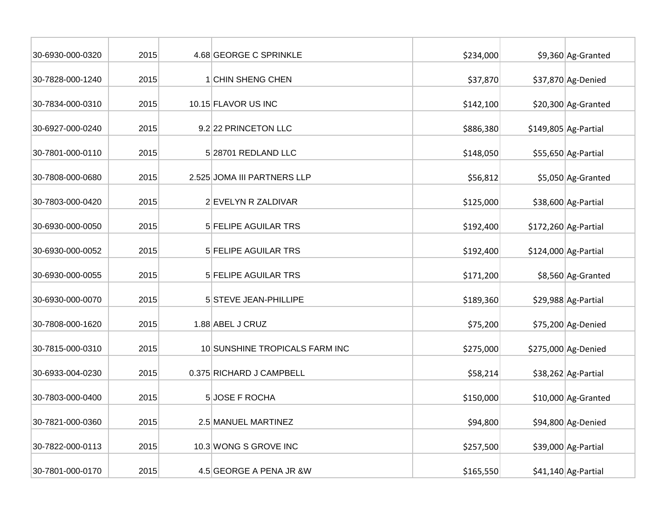| 30-6930-000-0320 | 2015 | 4.68 GEORGE C SPRINKLE         | \$234,000 | \$9,360 Ag-Granted    |
|------------------|------|--------------------------------|-----------|-----------------------|
| 30-7828-000-1240 | 2015 | 1 CHIN SHENG CHEN              | \$37,870  | \$37,870 Ag-Denied    |
| 30-7834-000-0310 | 2015 | 10.15 FLAVOR US INC            | \$142,100 | \$20,300 Ag-Granted   |
| 30-6927-000-0240 | 2015 | 9.2 22 PRINCETON LLC           | \$886,380 | $$149,805$ Ag-Partial |
| 30-7801-000-0110 | 2015 | 5 28701 REDLAND LLC            | \$148,050 | \$55,650 Ag-Partial   |
| 30-7808-000-0680 | 2015 | 2.525 JOMA III PARTNERS LLP    | \$56,812  | \$5,050 Ag-Granted    |
| 30-7803-000-0420 | 2015 | 2 EVELYN R ZALDIVAR            | \$125,000 | \$38,600 Ag-Partial   |
| 30-6930-000-0050 | 2015 | 5 FELIPE AGUILAR TRS           | \$192,400 | $$172,260$ Ag-Partial |
| 30-6930-000-0052 | 2015 | 5 FELIPE AGUILAR TRS           | \$192,400 | \$124,000 Ag-Partial  |
| 30-6930-000-0055 | 2015 | 5 FELIPE AGUILAR TRS           | \$171,200 | \$8,560 Ag-Granted    |
| 30-6930-000-0070 | 2015 | 5 STEVE JEAN-PHILLIPE          | \$189,360 | \$29,988 Ag-Partial   |
| 30-7808-000-1620 | 2015 | 1.88 ABEL J CRUZ               | \$75,200  | \$75,200 Ag-Denied    |
| 30-7815-000-0310 | 2015 | 10 SUNSHINE TROPICALS FARM INC | \$275,000 | \$275,000 Ag-Denied   |
| 30-6933-004-0230 | 2015 | 0.375 RICHARD J CAMPBELL       | \$58,214  | \$38,262 Ag-Partial   |
| 30-7803-000-0400 | 2015 | 5 JOSE F ROCHA                 | \$150,000 | \$10,000 Ag-Granted   |
| 30-7821-000-0360 | 2015 | 2.5 MANUEL MARTINEZ            | \$94,800  | \$94,800 Ag-Denied    |
| 30-7822-000-0113 | 2015 | 10.3 WONG S GROVE INC          | \$257,500 | \$39,000 Ag-Partial   |
| 30-7801-000-0170 | 2015 | 4.5 GEORGE A PENA JR &W        | \$165,550 | \$41,140 Ag-Partial   |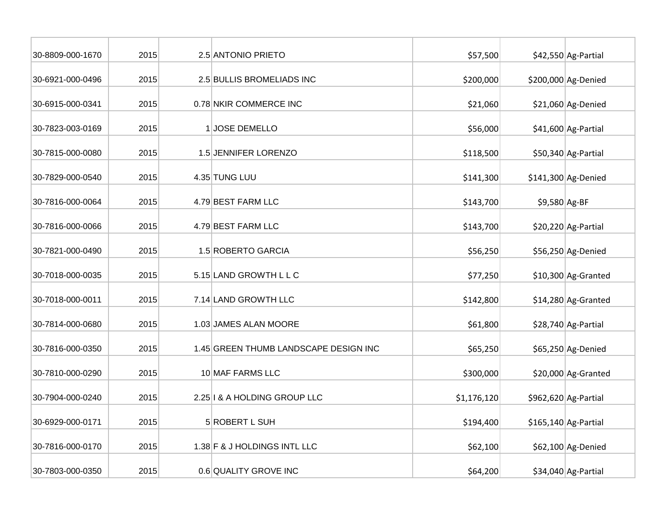| 30-8809-000-1670 | 2015 | 2.5 ANTONIO PRIETO                    | \$57,500    |               | \$42,550 Ag-Partial   |
|------------------|------|---------------------------------------|-------------|---------------|-----------------------|
| 30-6921-000-0496 | 2015 | 2.5 BULLIS BROMELIADS INC             | \$200,000   |               | \$200,000 Ag-Denied   |
| 30-6915-000-0341 | 2015 | 0.78 NKIR COMMERCE INC                | \$21,060    |               | \$21,060 Ag-Denied    |
| 30-7823-003-0169 | 2015 | 1 JOSE DEMELLO                        | \$56,000    |               | \$41,600 Ag-Partial   |
| 30-7815-000-0080 | 2015 | 1.5 JENNIFER LORENZO                  | \$118,500   |               | \$50,340 Ag-Partial   |
| 30-7829-000-0540 | 2015 | 4.35 TUNG LUU                         | \$141,300   |               | \$141,300 Ag-Denied   |
| 30-7816-000-0064 | 2015 | 4.79 BEST FARM LLC                    | \$143,700   | \$9,580 Ag-BF |                       |
| 30-7816-000-0066 | 2015 | 4.79 BEST FARM LLC                    | \$143,700   |               | \$20,220 Ag-Partial   |
| 30-7821-000-0490 | 2015 | 1.5 ROBERTO GARCIA                    | \$56,250    |               | \$56,250 Ag-Denied    |
| 30-7018-000-0035 | 2015 | 5.15 LAND GROWTH L L C                | \$77,250    |               | \$10,300 Ag-Granted   |
| 30-7018-000-0011 | 2015 | 7.14 LAND GROWTH LLC                  | \$142,800   |               | \$14,280 Ag-Granted   |
| 30-7814-000-0680 | 2015 | 1.03 JAMES ALAN MOORE                 | \$61,800    |               | \$28,740 Ag-Partial   |
| 30-7816-000-0350 | 2015 | 1.45 GREEN THUMB LANDSCAPE DESIGN INC | \$65,250    |               | \$65,250 Ag-Denied    |
| 30-7810-000-0290 | 2015 | 10 MAF FARMS LLC                      | \$300,000   |               | \$20,000 Ag-Granted   |
| 30-7904-000-0240 | 2015 | 2.25   & A HOLDING GROUP LLC          | \$1,176,120 |               | $$962,620$ Ag-Partial |
| 30-6929-000-0171 | 2015 | 5 ROBERT L SUH                        | \$194,400   |               | $$165,140$ Ag-Partial |
| 30-7816-000-0170 | 2015 | 1.38 F & J HOLDINGS INTL LLC          | \$62,100    |               | \$62,100 Ag-Denied    |
| 30-7803-000-0350 | 2015 | 0.6 QUALITY GROVE INC                 | \$64,200    |               | \$34,040 Ag-Partial   |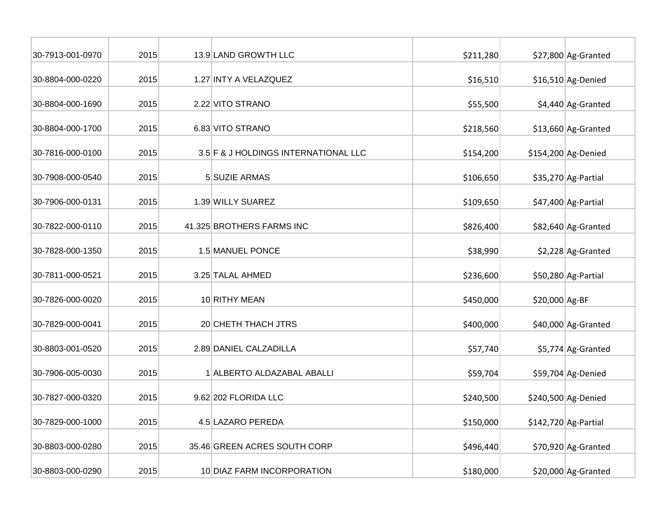| 30-7913-001-0970 | 2015 | 13.9 LAND GROWTH LLC                 | \$211,280 |                | \$27,800 Ag-Granted   |
|------------------|------|--------------------------------------|-----------|----------------|-----------------------|
| 30-8804-000-0220 | 2015 | 1.27 INTY A VELAZQUEZ                | \$16,510  |                | \$16,510 Ag-Denied    |
| 30-8804-000-1690 | 2015 | 2.22 VITO STRANO                     | \$55,500  |                | \$4,440 Ag-Granted    |
| 30-8804-000-1700 | 2015 | 6.83 VITO STRANO                     | \$218,560 |                | \$13,660 Ag-Granted   |
| 30-7816-000-0100 | 2015 | 3.5 F & J HOLDINGS INTERNATIONAL LLC | \$154,200 |                | \$154,200 Ag-Denied   |
| 30-7908-000-0540 | 2015 | 5 SUZIE ARMAS                        | \$106,650 |                | \$35,270 Ag-Partial   |
| 30-7906-000-0131 | 2015 | 1.39 WILLY SUAREZ                    | \$109,650 |                | \$47,400 Ag-Partial   |
| 30-7822-000-0110 | 2015 | 41.325 BROTHERS FARMS INC            | \$826,400 |                | \$82,640 Ag-Granted   |
| 30-7828-000-1350 | 2015 | 1.5 MANUEL PONCE                     | \$38,990  |                | \$2,228 Ag-Granted    |
| 30-7811-000-0521 | 2015 | 3.25 TALAL AHMED                     | \$236,600 |                | \$50,280 Ag-Partial   |
| 30-7826-000-0020 | 2015 | 10 RITHY MEAN                        | \$450,000 | \$20,000 Ag-BF |                       |
| 30-7829-000-0041 | 2015 | 20 CHETH THACH JTRS                  | \$400,000 |                | \$40,000 Ag-Granted   |
| 30-8803-001-0520 | 2015 | 2.89 DANIEL CALZADILLA               | \$57,740  |                | \$5,774 Ag-Granted    |
| 30-7906-005-0030 | 2015 | 1 ALBERTO ALDAZABAL ABALLI           | \$59,704  |                | \$59,704 Ag-Denied    |
| 30-7827-000-0320 | 2015 | 9.62 202 FLORIDA LLC                 | \$240,500 |                | \$240,500 Ag-Denied   |
| 30-7829-000-1000 | 2015 | 4.5 LAZARO PEREDA                    | \$150,000 |                | $$142,720$ Ag-Partial |
| 30-8803-000-0280 | 2015 | 35.46 GREEN ACRES SOUTH CORP         | \$496,440 |                | \$70,920 Ag-Granted   |
| 30-8803-000-0290 | 2015 | 10 DIAZ FARM INCORPORATION           | \$180,000 |                | \$20,000 Ag-Granted   |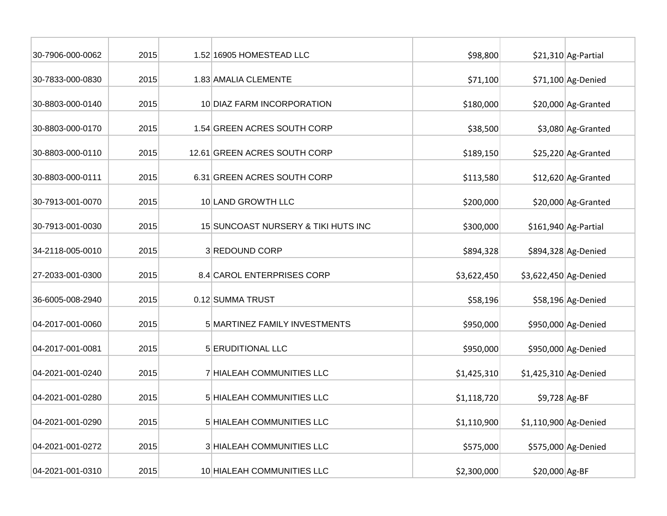| 30-7906-000-0062 | 2015 | 1.52 16905 HOMESTEAD LLC            | \$98,800    |                       | \$21,310 Ag-Partial   |
|------------------|------|-------------------------------------|-------------|-----------------------|-----------------------|
| 30-7833-000-0830 | 2015 | 1.83 AMALIA CLEMENTE                | \$71,100    |                       | \$71,100 Ag-Denied    |
| 30-8803-000-0140 | 2015 | 10 DIAZ FARM INCORPORATION          | \$180,000   |                       | \$20,000 Ag-Granted   |
| 30-8803-000-0170 | 2015 | 1.54 GREEN ACRES SOUTH CORP         | \$38,500    |                       | \$3,080 Ag-Granted    |
| 30-8803-000-0110 | 2015 | 12.61 GREEN ACRES SOUTH CORP        | \$189,150   |                       | \$25,220 Ag-Granted   |
| 30-8803-000-0111 | 2015 | 6.31 GREEN ACRES SOUTH CORP         | \$113,580   |                       | \$12,620 Ag-Granted   |
| 30-7913-001-0070 | 2015 | 10 LAND GROWTH LLC                  | \$200,000   |                       | \$20,000 Ag-Granted   |
| 30-7913-001-0030 | 2015 | 15 SUNCOAST NURSERY & TIKI HUTS INC | \$300,000   |                       | $$161,940$ Ag-Partial |
| 34-2118-005-0010 | 2015 | 3 REDOUND CORP                      | \$894,328   |                       | \$894,328 Ag-Denied   |
| 27-2033-001-0300 | 2015 | 8.4 CAROL ENTERPRISES CORP          | \$3,622,450 | \$3,622,450 Ag-Denied |                       |
| 36-6005-008-2940 | 2015 | 0.12 SUMMA TRUST                    | \$58,196    |                       | \$58,196 Ag-Denied    |
| 04-2017-001-0060 | 2015 | 5 MARTINEZ FAMILY INVESTMENTS       | \$950,000   |                       | \$950,000 Ag-Denied   |
| 04-2017-001-0081 | 2015 | 5 ERUDITIONAL LLC                   | \$950,000   |                       | \$950,000 Ag-Denied   |
| 04-2021-001-0240 | 2015 | 7 HIALEAH COMMUNITIES LLC           | \$1,425,310 | \$1,425,310 Ag-Denied |                       |
| 04-2021-001-0280 | 2015 | 5 HIALEAH COMMUNITIES LLC           | \$1,118,720 | $$9,728$ Ag-BF        |                       |
| 04-2021-001-0290 | 2015 | 5 HIALEAH COMMUNITIES LLC           | \$1,110,900 | \$1,110,900 Ag-Denied |                       |
| 04-2021-001-0272 | 2015 | 3 HIALEAH COMMUNITIES LLC           | \$575,000   |                       | \$575,000 Ag-Denied   |
| 04-2021-001-0310 | 2015 | 10 HIALEAH COMMUNITIES LLC          | \$2,300,000 | \$20,000 Ag-BF        |                       |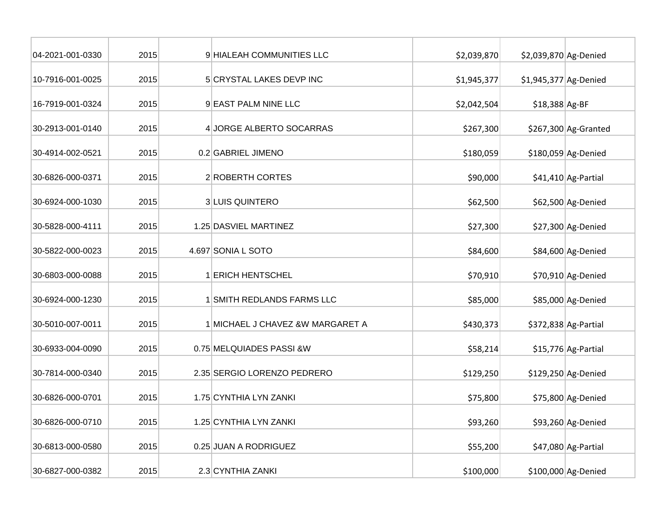| 04-2021-001-0330 | 2015 | 9 HIALEAH COMMUNITIES LLC        | \$2,039,870 | \$2,039,870 Ag-Denied |                       |
|------------------|------|----------------------------------|-------------|-----------------------|-----------------------|
| 10-7916-001-0025 | 2015 | 5 CRYSTAL LAKES DEVP INC         | \$1,945,377 | \$1,945,377 Ag-Denied |                       |
| 16-7919-001-0324 | 2015 | 9 EAST PALM NINE LLC             | \$2,042,504 | \$18,388 Ag-BF        |                       |
| 30-2913-001-0140 | 2015 | 4 JORGE ALBERTO SOCARRAS         | \$267,300   |                       | $$267,300$ Ag-Granted |
| 30-4914-002-0521 | 2015 | 0.2 GABRIEL JIMENO               | \$180,059   |                       | \$180,059 Ag-Denied   |
| 30-6826-000-0371 | 2015 | 2 ROBERTH CORTES                 | \$90,000    |                       | \$41,410 Ag-Partial   |
| 30-6924-000-1030 | 2015 | 3 LUIS QUINTERO                  | \$62,500    |                       | \$62,500 Ag-Denied    |
| 30-5828-000-4111 | 2015 | 1.25 DASVIEL MARTINEZ            | \$27,300    |                       | \$27,300 Ag-Denied    |
| 30-5822-000-0023 | 2015 | 4.697 SONIA L SOTO               | \$84,600    |                       | \$84,600 Ag-Denied    |
| 30-6803-000-0088 | 2015 | 1 ERICH HENTSCHEL                | \$70,910    |                       | \$70,910 Ag-Denied    |
| 30-6924-000-1230 | 2015 | 1 SMITH REDLANDS FARMS LLC       | \$85,000    |                       | \$85,000 Ag-Denied    |
| 30-5010-007-0011 | 2015 | 1 MICHAEL J CHAVEZ &W MARGARET A | \$430,373   |                       | \$372,838 Ag-Partial  |
| 30-6933-004-0090 | 2015 | 0.75 MELQUIADES PASSI &W         | \$58,214    |                       | \$15,776 Ag-Partial   |
| 30-7814-000-0340 | 2015 | 2.35 SERGIO LORENZO PEDRERO      | \$129,250   |                       | \$129,250 Ag-Denied   |
| 30-6826-000-0701 | 2015 | 1.75 CYNTHIA LYN ZANKI           | \$75,800    |                       | \$75,800 Ag-Denied    |
| 30-6826-000-0710 | 2015 | 1.25 CYNTHIA LYN ZANKI           | \$93,260    |                       | \$93,260 Ag-Denied    |
| 30-6813-000-0580 | 2015 | 0.25 JUAN A RODRIGUEZ            | \$55,200    |                       | \$47,080 Ag-Partial   |
| 30-6827-000-0382 | 2015 | 2.3 CYNTHIA ZANKI                | \$100,000   |                       | \$100,000 Ag-Denied   |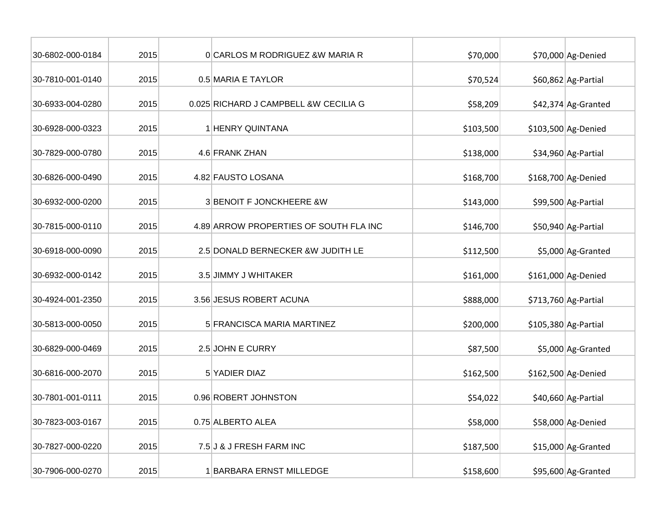| 30-6802-000-0184 | 2015 | OCARLOS M RODRIGUEZ & W MARIA R        | \$70,000  | \$70,000 Ag-Denied    |
|------------------|------|----------------------------------------|-----------|-----------------------|
| 30-7810-001-0140 | 2015 | 0.5 MARIA E TAYLOR                     | \$70,524  | \$60,862 Ag-Partial   |
| 30-6933-004-0280 | 2015 | 0.025 RICHARD J CAMPBELL & W CECILIA G | \$58,209  | \$42,374 Ag-Granted   |
| 30-6928-000-0323 | 2015 | 1 HENRY QUINTANA                       | \$103,500 | \$103,500 Ag-Denied   |
| 30-7829-000-0780 | 2015 | 4.6 FRANK ZHAN                         | \$138,000 | \$34,960 Ag-Partial   |
| 30-6826-000-0490 | 2015 | 4.82 FAUSTO LOSANA                     | \$168,700 | \$168,700 Ag-Denied   |
| 30-6932-000-0200 | 2015 | 3 BENOIT F JONCKHEERE &W               | \$143,000 | \$99,500 Ag-Partial   |
| 30-7815-000-0110 | 2015 | 4.89 ARROW PROPERTIES OF SOUTH FLA INC | \$146,700 | \$50,940 Ag-Partial   |
| 30-6918-000-0090 | 2015 | 2.5 DONALD BERNECKER &W JUDITH LE      | \$112,500 | \$5,000 Ag-Granted    |
| 30-6932-000-0142 | 2015 | 3.5 JIMMY J WHITAKER                   | \$161,000 | \$161,000 Ag-Denied   |
| 30-4924-001-2350 | 2015 | 3.56 JESUS ROBERT ACUNA                | \$888,000 | $$713,760$ Ag-Partial |
| 30-5813-000-0050 | 2015 | 5 FRANCISCA MARIA MARTINEZ             | \$200,000 | $$105,380$ Ag-Partial |
| 30-6829-000-0469 | 2015 | 2.5 JOHN E CURRY                       | \$87,500  | \$5,000 Ag-Granted    |
| 30-6816-000-2070 | 2015 | 5 YADIER DIAZ                          | \$162,500 | \$162,500 Ag-Denied   |
| 30-7801-001-0111 | 2015 | 0.96 ROBERT JOHNSTON                   | \$54,022  | \$40,660 Ag-Partial   |
| 30-7823-003-0167 | 2015 | 0.75 ALBERTO ALEA                      | \$58,000  | \$58,000 Ag-Denied    |
| 30-7827-000-0220 | 2015 | 7.5 J & J FRESH FARM INC               | \$187,500 | $$15,000$ Ag-Granted  |
| 30-7906-000-0270 | 2015 | 1 BARBARA ERNST MILLEDGE               | \$158,600 | \$95,600 Ag-Granted   |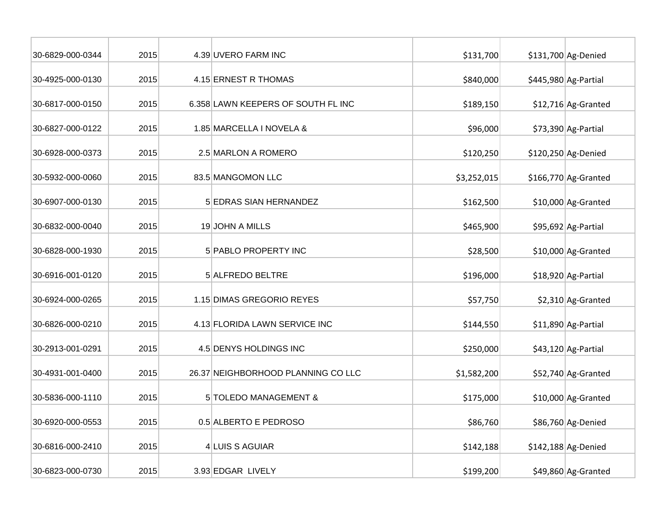| 30-6829-000-0344 | 2015 | 4.39 UVERO FARM INC                | \$131,700   | \$131,700 Ag-Denied   |
|------------------|------|------------------------------------|-------------|-----------------------|
| 30-4925-000-0130 | 2015 | 4.15 ERNEST R THOMAS               | \$840,000   | $$445,980$ Ag-Partial |
| 30-6817-000-0150 | 2015 | 6.358 LAWN KEEPERS OF SOUTH FL INC | \$189,150   | \$12,716 Ag-Granted   |
| 30-6827-000-0122 | 2015 | 1.85 MARCELLA I NOVELA &           | \$96,000    | $$73,390$ Ag-Partial  |
| 30-6928-000-0373 | 2015 | 2.5 MARLON A ROMERO                | \$120,250   | \$120,250 Ag-Denied   |
| 30-5932-000-0060 | 2015 | 83.5 MANGOMON LLC                  | \$3,252,015 | $$166,770$ Ag-Granted |
| 30-6907-000-0130 | 2015 | 5 EDRAS SIAN HERNANDEZ             | \$162,500   | \$10,000 Ag-Granted   |
| 30-6832-000-0040 | 2015 | 19JOHN A MILLS                     | \$465,900   | \$95,692 Ag-Partial   |
| 30-6828-000-1930 | 2015 | 5 PABLO PROPERTY INC               | \$28,500    | \$10,000 Ag-Granted   |
| 30-6916-001-0120 | 2015 | 5 ALFREDO BELTRE                   | \$196,000   | \$18,920 Ag-Partial   |
| 30-6924-000-0265 | 2015 | 1.15 DIMAS GREGORIO REYES          | \$57,750    | \$2,310 Ag-Granted    |
| 30-6826-000-0210 | 2015 | 4.13 FLORIDA LAWN SERVICE INC      | \$144,550   | \$11,890 Ag-Partial   |
| 30-2913-001-0291 | 2015 | 4.5 DENYS HOLDINGS INC             | \$250,000   | \$43,120 Ag-Partial   |
| 30-4931-001-0400 | 2015 | 26.37 NEIGHBORHOOD PLANNING CO LLC | \$1,582,200 | \$52,740 Ag-Granted   |
| 30-5836-000-1110 | 2015 | 5 TOLEDO MANAGEMENT &              | \$175,000   | \$10,000 Ag-Granted   |
| 30-6920-000-0553 | 2015 | 0.5 ALBERTO E PEDROSO              | \$86,760    | \$86,760 Ag-Denied    |
| 30-6816-000-2410 | 2015 | 4 LUIS S AGUIAR                    | \$142,188   | $$142,188$ Ag-Denied  |
| 30-6823-000-0730 | 2015 | 3.93 EDGAR LIVELY                  | \$199,200   | \$49,860 Ag-Granted   |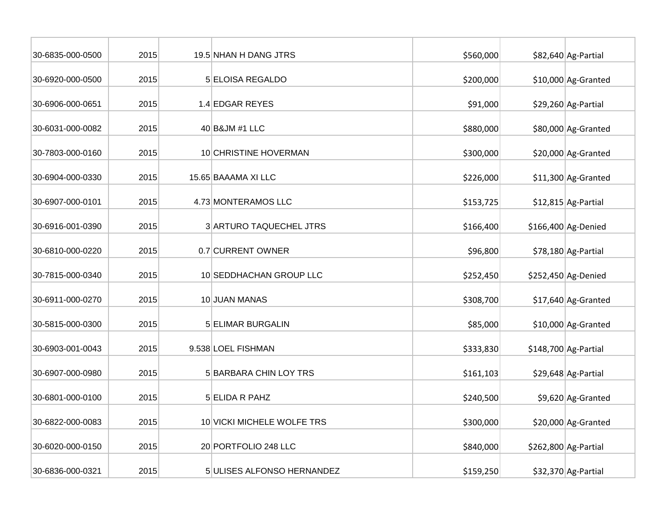| 30-6835-000-0500 | 2015 | 19.5 NHAN H DANG JTRS      | \$560,000 | \$82,640 Ag-Partial   |
|------------------|------|----------------------------|-----------|-----------------------|
| 30-6920-000-0500 | 2015 | 5 ELOISA REGALDO           | \$200,000 | \$10,000 Ag-Granted   |
| 30-6906-000-0651 | 2015 | 1.4 EDGAR REYES            | \$91,000  | \$29,260 Ag-Partial   |
| 30-6031-000-0082 | 2015 | 40 B&JM #1 LLC             | \$880,000 | \$80,000 Ag-Granted   |
| 30-7803-000-0160 | 2015 | 10 CHRISTINE HOVERMAN      | \$300,000 | \$20,000 Ag-Granted   |
| 30-6904-000-0330 | 2015 | 15.65 BAAAMA XI LLC        | \$226,000 | \$11,300 Ag-Granted   |
| 30-6907-000-0101 | 2015 | 4.73 MONTERAMOS LLC        | \$153,725 | \$12,815 Ag-Partial   |
| 30-6916-001-0390 | 2015 | 3 ARTURO TAQUECHEL JTRS    | \$166,400 | \$166,400 Ag-Denied   |
| 30-6810-000-0220 | 2015 | 0.7 CURRENT OWNER          | \$96,800  | \$78,180 Ag-Partial   |
| 30-7815-000-0340 | 2015 | 10 SEDDHACHAN GROUP LLC    | \$252,450 | \$252,450 Ag-Denied   |
| 30-6911-000-0270 | 2015 | 10 JUAN MANAS              | \$308,700 | \$17,640 Ag-Granted   |
| 30-5815-000-0300 | 2015 | 5 ELIMAR BURGALIN          | \$85,000  | \$10,000 Ag-Granted   |
| 30-6903-001-0043 | 2015 | 9.538 LOEL FISHMAN         | \$333,830 | $$148,700$ Ag-Partial |
| 30-6907-000-0980 | 2015 | 5 BARBARA CHIN LOY TRS     | \$161,103 | \$29,648 Ag-Partial   |
| 30-6801-000-0100 | 2015 | 5 ELIDA R PAHZ             | \$240,500 | \$9,620 Ag-Granted    |
| 30-6822-000-0083 | 2015 | 10 VICKI MICHELE WOLFE TRS | \$300,000 | \$20,000 Ag-Granted   |
| 30-6020-000-0150 | 2015 | 20 PORTFOLIO 248 LLC       | \$840,000 | \$262,800 Ag-Partial  |
| 30-6836-000-0321 | 2015 | 5 ULISES ALFONSO HERNANDEZ | \$159,250 | \$32,370 Ag-Partial   |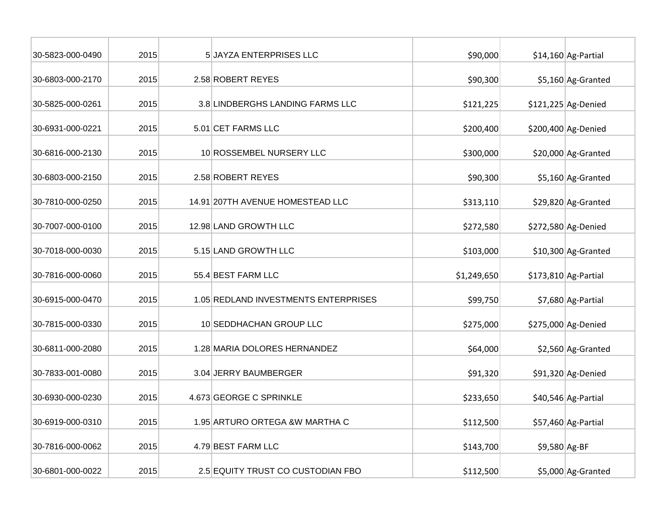| 30-5823-000-0490 | 2015 | 5 JAYZA ENTERPRISES LLC              | \$90,000    |               | $$14,160$ Ag-Partial  |
|------------------|------|--------------------------------------|-------------|---------------|-----------------------|
| 30-6803-000-2170 | 2015 | 2.58 ROBERT REYES                    | \$90,300    |               | \$5,160 Ag-Granted    |
| 30-5825-000-0261 | 2015 | 3.8 LINDBERGHS LANDING FARMS LLC     | \$121,225   |               | \$121,225 Ag-Denied   |
| 30-6931-000-0221 | 2015 | 5.01 CET FARMS LLC                   | \$200,400   |               | \$200,400 Ag-Denied   |
| 30-6816-000-2130 | 2015 | 10 ROSSEMBEL NURSERY LLC             | \$300,000   |               | \$20,000 Ag-Granted   |
| 30-6803-000-2150 | 2015 | 2.58 ROBERT REYES                    | \$90,300    |               | \$5,160 Ag-Granted    |
| 30-7810-000-0250 | 2015 | 14.91 207TH AVENUE HOMESTEAD LLC     | \$313,110   |               | \$29,820 Ag-Granted   |
| 30-7007-000-0100 | 2015 | 12.98 LAND GROWTH LLC                | \$272,580   |               | \$272,580 Ag-Denied   |
| 30-7018-000-0030 | 2015 | 5.15 LAND GROWTH LLC                 | \$103,000   |               | \$10,300 Ag-Granted   |
| 30-7816-000-0060 | 2015 | 55.4 BEST FARM LLC                   | \$1,249,650 |               | $$173,810$ Ag-Partial |
| 30-6915-000-0470 | 2015 | 1.05 REDLAND INVESTMENTS ENTERPRISES | \$99,750    |               | \$7,680 Ag-Partial    |
| 30-7815-000-0330 | 2015 | 10 SEDDHACHAN GROUP LLC              | \$275,000   |               | \$275,000 Ag-Denied   |
| 30-6811-000-2080 | 2015 | 1.28 MARIA DOLORES HERNANDEZ         | \$64,000    |               | \$2,560 Ag-Granted    |
| 30-7833-001-0080 | 2015 | 3.04 JERRY BAUMBERGER                | \$91,320    |               | \$91,320 Ag-Denied    |
| 30-6930-000-0230 | 2015 | 4.673 GEORGE C SPRINKLE              | \$233,650   |               | \$40,546 Ag-Partial   |
| 30-6919-000-0310 | 2015 | 1.95 ARTURO ORTEGA & W MARTHA C      | \$112,500   |               | \$57,460 Ag-Partial   |
| 30-7816-000-0062 | 2015 | 4.79 BEST FARM LLC                   | \$143,700   | \$9,580 Ag-BF |                       |
| 30-6801-000-0022 | 2015 | 2.5 EQUITY TRUST CO CUSTODIAN FBO    | \$112,500   |               | \$5,000 Ag-Granted    |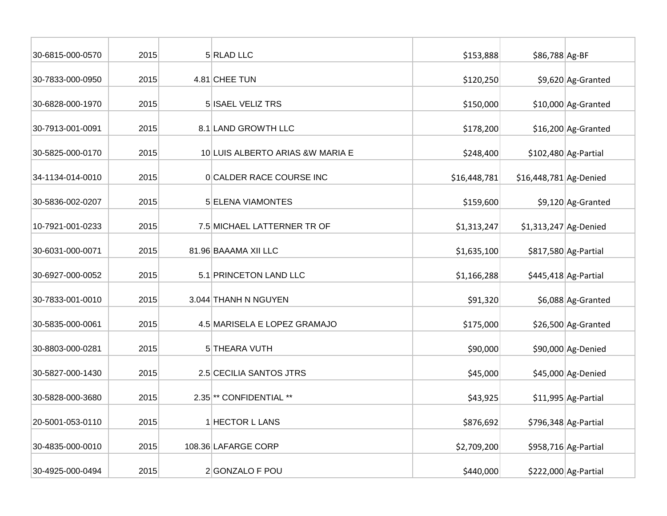| 30-6815-000-0570 | 2015 | 5 RLAD LLC                         | \$153,888    | \$86,788 Ag-BF         |                       |
|------------------|------|------------------------------------|--------------|------------------------|-----------------------|
| 30-7833-000-0950 | 2015 | 4.81 CHEE TUN                      | \$120,250    |                        | \$9,620 Ag-Granted    |
| 30-6828-000-1970 | 2015 | 5 ISAEL VELIZ TRS                  | \$150,000    |                        | \$10,000 Ag-Granted   |
| 30-7913-001-0091 | 2015 | 8.1 LAND GROWTH LLC                | \$178,200    |                        | $$16,200$ Ag-Granted  |
| 30-5825-000-0170 | 2015 | 10 LUIS ALBERTO ARIAS & WMARIA E   | \$248,400    |                        | $$102,480$ Ag-Partial |
| 34-1134-014-0010 | 2015 | <b>OCALDER RACE COURSE INC</b>     | \$16,448,781 | \$16,448,781 Ag-Denied |                       |
| 30-5836-002-0207 | 2015 | 5 ELENA VIAMONTES                  | \$159,600    |                        | \$9,120 Ag-Granted    |
| 10-7921-001-0233 | 2015 | 7.5 MICHAEL LATTERNER TR OF        | \$1,313,247  | \$1,313,247 Ag-Denied  |                       |
| 30-6031-000-0071 | 2015 | 81.96 BAAAMA XII LLC               | \$1,635,100  |                        | \$817,580 Ag-Partial  |
| 30-6927-000-0052 | 2015 | 5.1 PRINCETON LAND LLC             | \$1,166,288  |                        | $$445,418$ Ag-Partial |
| 30-7833-001-0010 | 2015 | 3.044 THANH N NGUYEN               | \$91,320     |                        | \$6,088 Ag-Granted    |
| 30-5835-000-0061 | 2015 | 4.5 MARISELA E LOPEZ GRAMAJO       | \$175,000    |                        | \$26,500 Ag-Granted   |
| 30-8803-000-0281 | 2015 | 5 THEARA VUTH                      | \$90,000     |                        | \$90,000 Ag-Denied    |
| 30-5827-000-1430 | 2015 | 2.5 CECILIA SANTOS JTRS            | \$45,000     |                        | \$45,000 Ag-Denied    |
| 30-5828-000-3680 | 2015 | 2.35 <sup>**</sup> CONFIDENTIAL ** | \$43,925     |                        | \$11,995 Ag-Partial   |
| 20-5001-053-0110 | 2015 | 1 HECTOR L LANS                    | \$876,692    |                        | $$796,348$ Ag-Partial |
| 30-4835-000-0010 | 2015 | 108.36 LAFARGE CORP                | \$2,709,200  |                        | \$958,716 Ag-Partial  |
| 30-4925-000-0494 | 2015 | 2 GONZALO F POU                    | \$440,000    |                        | \$222,000 Ag-Partial  |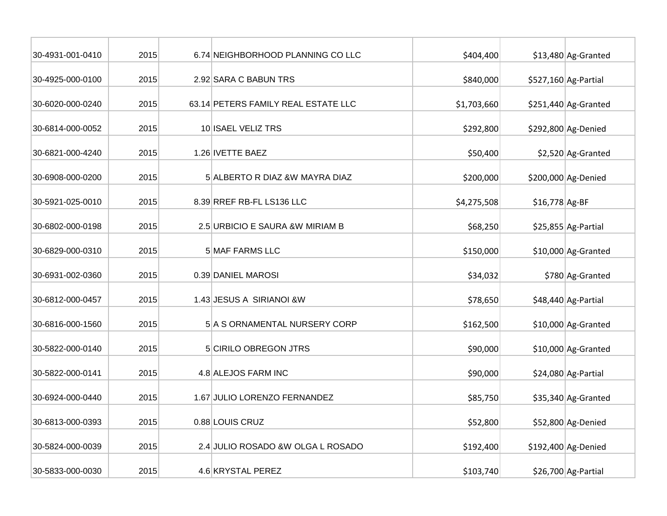| 30-4931-001-0410 | 2015 | 6.74 NEIGHBORHOOD PLANNING CO LLC   | \$404,400   |                | \$13,480 Ag-Granted   |
|------------------|------|-------------------------------------|-------------|----------------|-----------------------|
| 30-4925-000-0100 | 2015 | 2.92 SARA C BABUN TRS               | \$840,000   |                | \$527,160 Ag-Partial  |
| 30-6020-000-0240 | 2015 | 63.14 PETERS FAMILY REAL ESTATE LLC | \$1,703,660 |                | $$251,440$ Ag-Granted |
| 30-6814-000-0052 | 2015 | 10 ISAEL VELIZ TRS                  | \$292,800   |                | \$292,800 Ag-Denied   |
| 30-6821-000-4240 | 2015 | 1.26 IVETTE BAEZ                    | \$50,400    |                | \$2,520 Ag-Granted    |
| 30-6908-000-0200 | 2015 | 5 ALBERTO R DIAZ &W MAYRA DIAZ      | \$200,000   |                | \$200,000 Ag-Denied   |
| 30-5921-025-0010 | 2015 | 8.39 RREF RB-FL LS136 LLC           | \$4,275,508 | \$16,778 Ag-BF |                       |
| 30-6802-000-0198 | 2015 | 2.5 URBICIO E SAURA & W MIRIAM B    | \$68,250    |                | \$25,855 Ag-Partial   |
| 30-6829-000-0310 | 2015 | 5 MAF FARMS LLC                     | \$150,000   |                | \$10,000 Ag-Granted   |
| 30-6931-002-0360 | 2015 | 0.39 DANIEL MAROSI                  | \$34,032    |                | \$780 Ag-Granted      |
| 30-6812-000-0457 | 2015 | 1.43 JESUS A SIRIANOI & W           | \$78,650    |                | \$48,440 Ag-Partial   |
| 30-6816-000-1560 | 2015 | 5 A S ORNAMENTAL NURSERY CORP       | \$162,500   |                | \$10,000 Ag-Granted   |
| 30-5822-000-0140 | 2015 | 5 CIRILO OBREGON JTRS               | \$90,000    |                | \$10,000 Ag-Granted   |
| 30-5822-000-0141 | 2015 | 4.8 ALEJOS FARM INC                 | \$90,000    |                | \$24,080 Ag-Partial   |
| 30-6924-000-0440 | 2015 | 1.67 JULIO LORENZO FERNANDEZ        | \$85,750    |                | \$35,340 Ag-Granted   |
| 30-6813-000-0393 | 2015 | 0.88 LOUIS CRUZ                     | \$52,800    |                | \$52,800 Ag-Denied    |
| 30-5824-000-0039 | 2015 | 2.4 JULIO ROSADO &W OLGA L ROSADO   | \$192,400   |                | \$192,400 Ag-Denied   |
| 30-5833-000-0030 | 2015 | 4.6 KRYSTAL PEREZ                   | \$103,740   |                | \$26,700 Ag-Partial   |